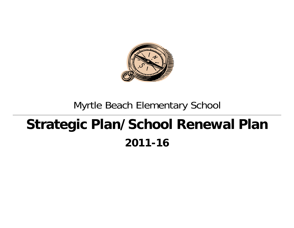

## Myrtle Beach Elementary School

# **Strategic Plan/School Renewal Plan 2011-16**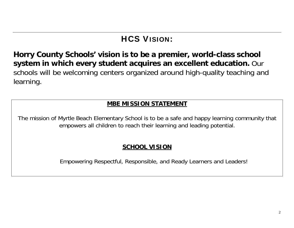## HCS VISION:

**Horry County Schools' vision is to be a premier, world-class school system in which every student acquires an excellent education.** Our schools will be welcoming centers organized around high-quality teaching and learning.

### **MBE MISSION STATEMENT**

The mission of Myrtle Beach Elementary School is to be a safe and happy learning community that empowers all children to reach their learning and leading potential.

### **SCHOOL VISION**

Empowering Respectful, Responsible, and Ready Learners and Leaders!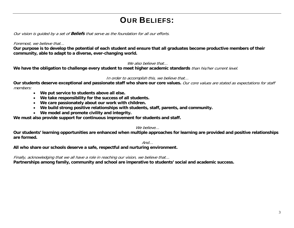## OUR BELIEFS:

Our vision is guided by a set of **Beliefs** that serve as the foundation for all our efforts.

### Foremost, we believe that…

**Our purpose is to develop the potential of each student and ensure that all graduates become productive members of their community, able to adapt to a diverse, ever-changing world.** 

### We also believe that...

We have the obligation to challenge every student to meet higher academic standards *than his/her current level.* 

### In order to accomplish this, we believe that…

**Our students deserve exceptional and passionate staff who share our core values.** Our core values are stated as expectations for staff members:

- **We put service to students above all else.**
- **We take responsibility for the success of all students.**
- **We care passionately about our work with children.**
- **We build strong positive relationships with students, staff, parents, and community.**
- **We model and promote civility and integrity.**

**We must also provide support for continuous improvement for students and staff.** 

### We believe...

**Our students' learning opportunities are enhanced when multiple approaches for learning are provided and positive relationships are formed.**

And…

**All who share our schools deserve a safe, respectful and nurturing environment.** 

Finally, acknowledging that we all have a role in reaching our vision, we believe that…

**Partnerships among family, community and school are imperative to students' social and academic success.**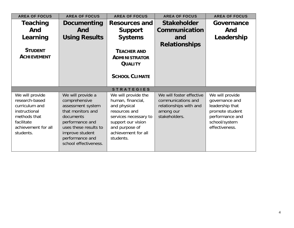| <b>AREA OF FOCUS</b>             | <b>AREA OF FOCUS</b>               | <b>AREA OF FOCUS</b>              | <b>AREA OF FOCUS</b>                         | <b>AREA OF FOCUS</b>              |
|----------------------------------|------------------------------------|-----------------------------------|----------------------------------------------|-----------------------------------|
| Teaching                         | Documenting                        | <b>Resources and</b>              | <b>Stakeholder</b>                           | Governance                        |
| And                              | And                                | <b>Support</b>                    | Communication                                | And                               |
| Learning                         | <b>Using Results</b>               | <b>Systems</b>                    | and                                          | Leadership                        |
|                                  |                                    |                                   | <b>Relationships</b>                         |                                   |
| <b>STUDENT</b>                   |                                    | <b>TEACHER AND</b>                |                                              |                                   |
| <b>ACHIEVEMENT</b>               |                                    | <b>ADMINISTRATOR</b>              |                                              |                                   |
|                                  |                                    | <b>QUALITY</b>                    |                                              |                                   |
|                                  |                                    |                                   |                                              |                                   |
|                                  |                                    | <b>SCHOOL CLIMATE</b>             |                                              |                                   |
|                                  |                                    |                                   |                                              |                                   |
|                                  |                                    | <b>STRATEGIES</b>                 |                                              |                                   |
| We will provide                  | We will provide a                  | We will provide the               | We will foster effective                     | We will provide                   |
| research-based<br>curriculum and | comprehensive<br>assessment system | human, financial,<br>and physical | communications and<br>relationships with and | governance and<br>leadership that |
| instructional                    | that monitors and                  | resources and                     | among our                                    | promote student                   |
| methods that                     | documents                          | services necessary to             | stakeholders.                                | performance and                   |
| facilitate                       | performance and                    | support our vision                |                                              | school/system                     |
| achievement for all              | uses these results to              | and purpose of                    |                                              | effectiveness.                    |
| students.                        | improve student                    | achievement for all               |                                              |                                   |
|                                  | performance and                    | students.                         |                                              |                                   |
|                                  | school effectiveness.              |                                   |                                              |                                   |
|                                  |                                    |                                   |                                              |                                   |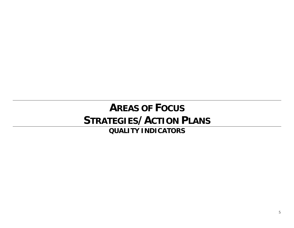# **AREAS OF FOCUS STRATEGIES/ACTION PLANS**

**QUALITY INDICATORS**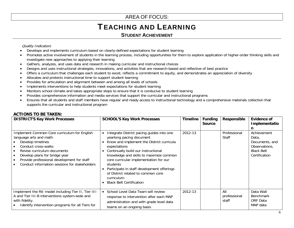## TEACHING AND LEARNING

### **STUDENT ACHIEVEMENT**

### Quality Indicators

- Develops and implements curriculum based on clearly-defined expectations for student learning
- • Promotes active involvement of students in the learning process, including opportunities for them to explore application of higher-order thinking skills and investigate new approaches to applying their learning
- •Gathers, analyzes, and uses data and research in making curricular and instructional choices
- •Designs and uses instructional strategies, innovations, and activities that are research-based and reflective of best practice
- •Offers a curriculum that challenges each student to excel, reflects a commitment to equity, and demonstrates an appreciation of diversity
- •Allocates and protects instructional time to support student learning
- •Provides for articulation and alignment between and among all levels of schools
- •Implements interventions to help students meet expectations for student learning
- •Monitors school climate and takes appropriate steps to ensure that it is conducive to student learning
- •Provides comprehensive information and media services that support the curricular and instructional programs
- • Ensures that all students and staff members have regular and ready access to instructional technology and a comprehensive materials collection that supports the curricular and instructional program

### **ACTIONS TO BE TAKEN:**

| <b>DISTRICT'S Key Work Processes</b>                                                                                                                                                                                                                                              | <b>SCHOOL'S Key Work Processes</b>                                                                                                                                                                                                                                                                                                                                                                              | <b>Timeline</b> | <b>Funding</b><br><b>Source</b> | Responsible                  | Evidence of<br>Implementatio<br>n                                                             |
|-----------------------------------------------------------------------------------------------------------------------------------------------------------------------------------------------------------------------------------------------------------------------------------|-----------------------------------------------------------------------------------------------------------------------------------------------------------------------------------------------------------------------------------------------------------------------------------------------------------------------------------------------------------------------------------------------------------------|-----------------|---------------------------------|------------------------------|-----------------------------------------------------------------------------------------------|
| Implement Common Core curriculum for English<br>language arts and math<br>Develop timelines<br>Conduct cross-walks<br>Revise curriculum documents<br>Develop plans for bridge year<br>Provide professional development for staff<br>Conduct information sessions for stakeholders | Integrate District pacing guides into one<br>yearlong pacing document<br>Know and implement the District curricula<br>expectations<br>Continually build our instructional<br>knowledge and skills to maximize common<br>core curricular implementation for our<br>students<br>Participate in staff development offerings<br>of District related to common core<br>curriculum<br><b>Black Belt Certification</b> | 2012-13         |                                 | Professional<br><b>Staff</b> | Achievement<br>Data,<br>Documents, and<br>Observations,<br><b>Black Belt</b><br>Certification |
| Implement the RtI model including Tier II, Tier III-<br>A and Tier III-B interventions system-wide and<br>with fidelity.<br>Identify intervention programs for all Tiers for                                                                                                      | School Level Data Team will review<br>response to intervention after each MAP<br>administration and with grade level data<br>teams on an ongoing basis                                                                                                                                                                                                                                                          | 2012-13         |                                 | All<br>professional<br>staff | Data Wall<br><b>Benchmark</b><br>ORF Data<br>MAP data                                         |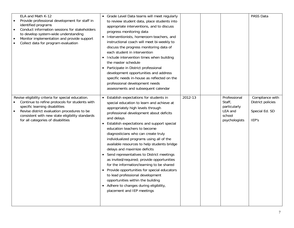| ELA and Math K-12<br>Provide professional development for staff in<br>identified programs<br>Conduct information sessions for stakeholders<br>$\bullet$<br>to develop system-wide understanding<br>Monitor implementation and provide support<br>$\bullet$<br>Collect data for program evaluation<br>$\bullet$ | • Grade Level Data teams will meet regularly<br>to review student data, place students into<br>appropriate interventions, and to discuss<br>progress monitoring data<br>Interventionists, homeroom teachers, and<br>$\bullet$<br>instructional coach will meet bi-weekly to<br>discuss the progress monitoring data of<br>each student in intervention<br>Include intervention times when building<br>$\bullet$<br>the master schedule<br>• Participate in District professional<br>development opportunities and address<br>specific needs in-house as reflected on the<br>professional development needs<br>assessments and subsequent calendar                                                                                                                                                    |         |                                                                              | PASS Data                                                       |
|----------------------------------------------------------------------------------------------------------------------------------------------------------------------------------------------------------------------------------------------------------------------------------------------------------------|------------------------------------------------------------------------------------------------------------------------------------------------------------------------------------------------------------------------------------------------------------------------------------------------------------------------------------------------------------------------------------------------------------------------------------------------------------------------------------------------------------------------------------------------------------------------------------------------------------------------------------------------------------------------------------------------------------------------------------------------------------------------------------------------------|---------|------------------------------------------------------------------------------|-----------------------------------------------------------------|
| Revise eligibility criteria for special education.<br>Continue to refine protocols for students with<br>specific learning disabilities<br>Revise district evaluation procedures to be<br>consistent with new state eligibility standards<br>for all categories of disabilities                                 | Establish expectations for students in<br>$\bullet$<br>special education to learn and achieve at<br>appropriately high levels through<br>professional development about deficits<br>and delays<br>Establish expectations and support special<br>education teachers to become<br>diagnosticians who can create truly<br>individualized programs using all of the<br>available resources to help students bridge<br>delays and maximize deficits<br>Send representatives to District meetings<br>as invited/required; provide opportunities<br>for the information/learning to be shared<br>Provide opportunities for special educators<br>$\bullet$<br>to lead professional development<br>opportunities within the building<br>• Adhere to changes during eligibility,<br>placement and IEP meetings | 2012-13 | Professional<br>Staff,<br>particularly<br>LEA and<br>school<br>psychologists | Compliance with<br>District policies<br>Special Ed. SD<br>IEP's |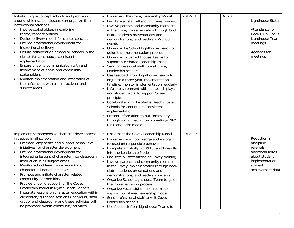| Initiate unique concept schools and programs                                                                                                                                                                                                                                                                                                                                                                                                                                                                                                                                                       | Implement the Covey Leadership Model                                                                                                                                                                                                                                                                                                                                                                                                                                                                                                                                                                                                                                                                                                                                                                                                                                                                                        | 2012-13 | All staff |                                                                                                                          |
|----------------------------------------------------------------------------------------------------------------------------------------------------------------------------------------------------------------------------------------------------------------------------------------------------------------------------------------------------------------------------------------------------------------------------------------------------------------------------------------------------------------------------------------------------------------------------------------------------|-----------------------------------------------------------------------------------------------------------------------------------------------------------------------------------------------------------------------------------------------------------------------------------------------------------------------------------------------------------------------------------------------------------------------------------------------------------------------------------------------------------------------------------------------------------------------------------------------------------------------------------------------------------------------------------------------------------------------------------------------------------------------------------------------------------------------------------------------------------------------------------------------------------------------------|---------|-----------|--------------------------------------------------------------------------------------------------------------------------|
| around which school clusters can organize their<br>instructional offerings<br>Involve stakeholders in exploring<br>theme/concept options<br>Decide delivery model for cluster concept<br>$\bullet$<br>Provide professional development for<br>$\bullet$<br>instructional delivery<br>Ensure collaboration among all schools in the<br>cluster for continuous, consistent<br>implementation<br>Ensure ongoing communication with and<br>involvement of home and community<br>stakeholders<br>Monitor implementation and integration of<br>theme/concept with all instructional and<br>subject areas | Facilitate all staff attending Covey training<br>Involve parents and community members<br>in the Covey implementation through book<br>clubs, students presentations and<br>demonstrations, and leadership/school<br>events<br>Organize the School Lighthouse Team to<br>guide the implementation process<br>• Organize Focus Lighthouse Teams to<br>support our shared leadership model<br>• Send professional staff to visit Covey<br>Leadership schools<br>Use feedback from Lighthouse Teams to<br>organize a three-year implementation<br>timeline; monitor implementation regularly<br>Infuse environment with quotes, displays,<br>$\bullet$<br>and student work to support Covey<br>principles<br>• Collaborate with the Myrtle Beach Cluster<br>Schools for continuous, consistent<br>implementation<br>• Present information to our community<br>through social media, town meetings, SIC,<br>PTO, and print media |         |           | <b>Lighthouse Status</b><br>Attendance for<br>Book Club, Focus<br>Lighthouse Team<br>meetings<br>Agendas for<br>meetings |
| Implement comprehensive character development                                                                                                                                                                                                                                                                                                                                                                                                                                                                                                                                                      | • Implement the Covey Leadership Model                                                                                                                                                                                                                                                                                                                                                                                                                                                                                                                                                                                                                                                                                                                                                                                                                                                                                      | 2012-13 |           |                                                                                                                          |
| initiatives in all schools                                                                                                                                                                                                                                                                                                                                                                                                                                                                                                                                                                         | Implement a school pledge and a slogan                                                                                                                                                                                                                                                                                                                                                                                                                                                                                                                                                                                                                                                                                                                                                                                                                                                                                      |         |           | Reduction in                                                                                                             |
| Promote, emphasize and support school level<br>initiatives for character development                                                                                                                                                                                                                                                                                                                                                                                                                                                                                                               | focused on responsible behavior                                                                                                                                                                                                                                                                                                                                                                                                                                                                                                                                                                                                                                                                                                                                                                                                                                                                                             |         |           | discipline<br>referrals;                                                                                                 |
| Provide professional development for<br>$\bullet$                                                                                                                                                                                                                                                                                                                                                                                                                                                                                                                                                  | Integrate anti-bullying, PBIS, and Lifeskills<br>$\bullet$<br>into the Leadership Model                                                                                                                                                                                                                                                                                                                                                                                                                                                                                                                                                                                                                                                                                                                                                                                                                                     |         |           | anecdotal notes                                                                                                          |
| integrating lessons of character into classroom                                                                                                                                                                                                                                                                                                                                                                                                                                                                                                                                                    | Facilitate all staff attending Covey training                                                                                                                                                                                                                                                                                                                                                                                                                                                                                                                                                                                                                                                                                                                                                                                                                                                                               |         |           | about student                                                                                                            |
| instruction in all subject areas                                                                                                                                                                                                                                                                                                                                                                                                                                                                                                                                                                   | Involve parents and community members                                                                                                                                                                                                                                                                                                                                                                                                                                                                                                                                                                                                                                                                                                                                                                                                                                                                                       |         |           | implementation;                                                                                                          |
| Monitor school level implementation of<br>$\bullet$                                                                                                                                                                                                                                                                                                                                                                                                                                                                                                                                                | in the Covey implementation through book                                                                                                                                                                                                                                                                                                                                                                                                                                                                                                                                                                                                                                                                                                                                                                                                                                                                                    |         |           | student                                                                                                                  |
| character education initiatives                                                                                                                                                                                                                                                                                                                                                                                                                                                                                                                                                                    | clubs, students presentations and                                                                                                                                                                                                                                                                                                                                                                                                                                                                                                                                                                                                                                                                                                                                                                                                                                                                                           |         |           | achievement data                                                                                                         |
| Promote and initiate character related                                                                                                                                                                                                                                                                                                                                                                                                                                                                                                                                                             | demonstrations, and leadership events                                                                                                                                                                                                                                                                                                                                                                                                                                                                                                                                                                                                                                                                                                                                                                                                                                                                                       |         |           |                                                                                                                          |
| community partnerships<br>Provide ongoing support for the Covey                                                                                                                                                                                                                                                                                                                                                                                                                                                                                                                                    | Organize School Lighthouse Team to guide                                                                                                                                                                                                                                                                                                                                                                                                                                                                                                                                                                                                                                                                                                                                                                                                                                                                                    |         |           |                                                                                                                          |
| Leadership model in Myrtle Beach Schools                                                                                                                                                                                                                                                                                                                                                                                                                                                                                                                                                           | the implementation process                                                                                                                                                                                                                                                                                                                                                                                                                                                                                                                                                                                                                                                                                                                                                                                                                                                                                                  |         |           |                                                                                                                          |
| Integrate lessons on character education within                                                                                                                                                                                                                                                                                                                                                                                                                                                                                                                                                    | • Organize Focus Lighthouse Teams to<br>support our shared leadership model                                                                                                                                                                                                                                                                                                                                                                                                                                                                                                                                                                                                                                                                                                                                                                                                                                                 |         |           |                                                                                                                          |
| elementary guidance sessions (individual, small                                                                                                                                                                                                                                                                                                                                                                                                                                                                                                                                                    | • Send professional staff to visit Covey                                                                                                                                                                                                                                                                                                                                                                                                                                                                                                                                                                                                                                                                                                                                                                                                                                                                                    |         |           |                                                                                                                          |
| group, and classroom) and these activities will                                                                                                                                                                                                                                                                                                                                                                                                                                                                                                                                                    | Leadership schools                                                                                                                                                                                                                                                                                                                                                                                                                                                                                                                                                                                                                                                                                                                                                                                                                                                                                                          |         |           |                                                                                                                          |
| be promoted within community activities.                                                                                                                                                                                                                                                                                                                                                                                                                                                                                                                                                           | • Use feedback from Lighthouse Teams to                                                                                                                                                                                                                                                                                                                                                                                                                                                                                                                                                                                                                                                                                                                                                                                                                                                                                     |         |           |                                                                                                                          |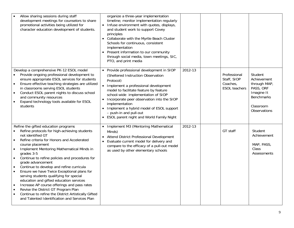| Allow sharing sessions during staff<br>development meetings for counselors to share<br>promotional activities being utilized for<br>character education development of students.                                                                                                                                                                                                                                                                                                                                                                                                                                                                                                                                                                                                                    | organize a three-year implementation<br>timeline; monitor implementation regularly<br>• Infuse environment with quotes, displays,<br>and student work to support Covey<br>principles<br>Collaborate with the Myrtle Beach Cluster<br>Schools for continuous, consistent<br>implementation<br>• Present information to our community<br>through social media, town meetings, SIC,<br>PTO, and print media                                              |         |                                                                 |                                                                                                                     |
|-----------------------------------------------------------------------------------------------------------------------------------------------------------------------------------------------------------------------------------------------------------------------------------------------------------------------------------------------------------------------------------------------------------------------------------------------------------------------------------------------------------------------------------------------------------------------------------------------------------------------------------------------------------------------------------------------------------------------------------------------------------------------------------------------------|-------------------------------------------------------------------------------------------------------------------------------------------------------------------------------------------------------------------------------------------------------------------------------------------------------------------------------------------------------------------------------------------------------------------------------------------------------|---------|-----------------------------------------------------------------|---------------------------------------------------------------------------------------------------------------------|
| Develop a comprehensive PK-12 ESOL model<br>Provide ongoing professional development to<br>ensure appropriate ESOL services for students<br>Ensure effective teaching strategies are utilized<br>$\bullet$<br>in classrooms serving ESOL students<br>Conduct ESOL parent nights to discuss school<br>$\bullet$<br>and community resources<br>Expand technology tools available for ESOL<br>students                                                                                                                                                                                                                                                                                                                                                                                                 | • Provide professional development in SIOP<br>(Sheltered Instruction Observation<br>Protocol)<br>Implement a professional development<br>$\bullet$<br>model to facilitate feature by feature<br>school-wide implementation of SIOP<br>Incorporate peer observation into the SIOP<br>$\bullet$<br>implementation<br>Implement a hybrid model of ESOL support<br>$\bullet$<br>- push-in and pull-out<br><b>ESOL parent night and World Family Night</b> | 2012-13 | Professional<br>Staff, SIOP<br>Coaches,<br><b>ESOL</b> teachers | Student<br>Achievement<br>through MAP,<br>PASS, ORF<br>Imagine It<br><b>Benchmarks</b><br>Classroom<br>Observations |
| Refine the gifted education programs<br>Refine protocols for high-achieving students<br>not identified GT<br>Refine criteria for Honors and Accelerated<br>$\bullet$<br>course placement<br>Implement Mentoring Mathematical Minds in<br>$\bullet$<br>grades 3-5<br>Continue to refine policies and procedures for<br>$\bullet$<br>grade advancement<br>Continue to develop and refine curricula<br>$\bullet$<br>Ensure we have Twice Exceptional plans for<br>$\bullet$<br>serving students qualifying for special<br>education and gifted education services<br>Increase AP course offerings and pass rates<br>$\bullet$<br>Revise the District GT Program Plan<br>$\bullet$<br>Continue to refine the District Artistically Gifted<br>$\bullet$<br>and Talented Identification and Services Plan | Implement M3 (Mentoring Mathematical<br>Minds)<br>Attend District Professional Development<br>• Evaluate current model for delivery and<br>compare to the efficacy of a pull-out model<br>as used by other elementary schools                                                                                                                                                                                                                         | 2012-13 | GT staff                                                        | Student<br>Achievement<br>MAP, PASS,<br>Class<br>Assessments                                                        |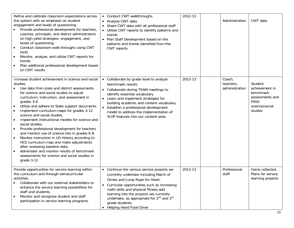| Refine and calibrate classroom expectations across<br>the system with an emphasis on student<br>engagement and levels of questioning<br>Provide professional development for teachers,<br>$\bullet$<br>coaches, principals, and district administrators<br>on high-yield strategies, engagement, and<br>levels of questioning<br>Conduct classroom walk-throughs using CWT<br>$\bullet$<br>tools<br>Monitor, analyze, and utilize CWT reports for<br>$\bullet$<br>trends<br>Plan additional professional development based<br>$\bullet$<br>on CWT results                                                                                                                                                                                                                                                                                | • Conduct CWT walkthroughs<br>• Analyze CWT data<br>Share CWT data with all professional staff<br>Utilize CWT reports to identify patterns and<br>trends<br>• Plan Staff Development based on the<br>patterns and trends identified from the<br>CWT reports.                                                                                                                                  | 2012-13 | Administration                        | CWT data                                                                                              |
|------------------------------------------------------------------------------------------------------------------------------------------------------------------------------------------------------------------------------------------------------------------------------------------------------------------------------------------------------------------------------------------------------------------------------------------------------------------------------------------------------------------------------------------------------------------------------------------------------------------------------------------------------------------------------------------------------------------------------------------------------------------------------------------------------------------------------------------|-----------------------------------------------------------------------------------------------------------------------------------------------------------------------------------------------------------------------------------------------------------------------------------------------------------------------------------------------------------------------------------------------|---------|---------------------------------------|-------------------------------------------------------------------------------------------------------|
| Increase student achievement in science and social<br>studies.<br>Use data from state and district assessments<br>for science and social studies to adjust<br>curriculum, instruction, and assessment in<br>grades 3-8<br>Utilize and adhere to State support documents<br>$\bullet$<br>Implement curriculum maps for grades 3-12<br>$\bullet$<br>science and social studies.<br>Implement instructional models for science and<br>$\bullet$<br>social studies.<br>Provide professional development for teachers<br>$\bullet$<br>and monitor use of science kits in grades K-8<br>Monitor instruction in US History according to<br>$\bullet$<br>HCS curriculum map and make adjustments<br>after reviewing baseline data.<br>Administer and monitor results of benchmark<br>assessments for science and social studies in<br>grade 3-12 | • Collaborate by grade level to analyze<br>benchmark results<br>• Collaborate during TEAM meetings to<br>identify essential vocabulary<br>• Learn and implement strategies for<br>building academic and content vocabulary<br>• Establish a professional development<br>model to address the implementation of<br>SIOP features into our content area                                         | 2012-13 | Coach,<br>teachers,<br>administration | Student<br>achievement in<br>benchmark<br>assessments and<br><b>PASS</b><br>science/social<br>studies |
| Provide opportunities for service learning within<br>the curriculum and through extracurricular<br>activities.<br>Collaborate with our external stakeholders to<br>enhance the service learning possibilities for<br>staff and students.<br>Monitor and recognize student and staff<br>$\bullet$<br>participation in service learning programs.                                                                                                                                                                                                                                                                                                                                                                                                                                                                                          | Continue the various service projects we<br>$\bullet$<br>currently undertake including March of<br>Dimes and Jump Rope for Heart.<br>Curricular opportunities such as increasing<br>math skills and physical fitness add<br>learning into the projects we currently<br>undertake, as appropriate for 2 <sup>nd</sup> and 3 <sup>rd</sup><br>grade students.<br><b>Helping Hand Food Drive</b> | 2012-13 | Professional<br>staff                 | Items collected,<br>Plans for service<br>learning projects                                            |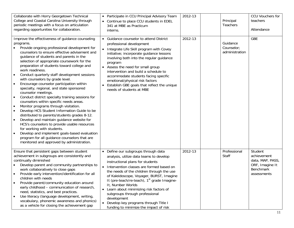| Collaborate with Horry Georgetown Technical<br>College and Coastal Carolina University through<br>periodic meetings with a focus on articulation<br>regarding opportunities for collaboration.                                                                                                                                                                                                                                                                                                                                                                                                                                                                                                                                                                                                                                                                                                                                                                                                                                                                                   | • Participate in CCU Principal Advisory Team<br>Continue to place CCU students in EDEL<br>341 at MBE as Practicum<br>interns.                                                                                                                                                                                                                                                                                                                                                                                                         | 2012-13 | Principal<br>Teachers                    | CCU Vouchers for<br>teachers<br>Attendance                                                       |
|----------------------------------------------------------------------------------------------------------------------------------------------------------------------------------------------------------------------------------------------------------------------------------------------------------------------------------------------------------------------------------------------------------------------------------------------------------------------------------------------------------------------------------------------------------------------------------------------------------------------------------------------------------------------------------------------------------------------------------------------------------------------------------------------------------------------------------------------------------------------------------------------------------------------------------------------------------------------------------------------------------------------------------------------------------------------------------|---------------------------------------------------------------------------------------------------------------------------------------------------------------------------------------------------------------------------------------------------------------------------------------------------------------------------------------------------------------------------------------------------------------------------------------------------------------------------------------------------------------------------------------|---------|------------------------------------------|--------------------------------------------------------------------------------------------------|
| Improve the effectiveness of guidance counseling<br>programs.<br>Provide ongoing professional development for<br>counselors to ensure effective advisement and<br>guidance of students and parents in the<br>selection of appropriate coursework for the<br>preparation of students toward college and<br>work readiness.<br>Conduct quarterly staff development sessions<br>with counselors by grade level.<br>Encourage counselor participation within<br>$\bullet$<br>specialty, regional, and state sponsored<br>counselor meetings.<br>Conduct district specialty training sessions for<br>$\bullet$<br>counselors within specific needs areas.<br>Monitor programs through visitation.<br>$\bullet$<br>Develop HCS Student Information Guide to be<br>distributed to parents/students grades 8-12.<br>Develop and maintain guidance website for<br>HCS's counselors to provide usable resources<br>for working with students.<br>Develop and implement goals-based evaluation<br>program for all guidance counselors that are<br>monitored and approved by administration. | Guidance counselor to attend District<br>professional development<br>• Integrate Life Skill program with Covey<br>initiative; incorporate guidance lessons<br>involving both into the regular guidance<br>program<br>• Assess the need for small group<br>intervention and build a schedule to<br>accommodate students facing specific<br>emotional/physical risk factors<br>Establish GBE goals that reflect the unique<br>needs of students at MBE                                                                                  | 2012-13 | Guidance<br>Counselor;<br>administration | <b>GBE</b>                                                                                       |
| Ensure that persistent gaps between student<br>achievement in subgroups are consistently and<br>continually diminished<br>Develop parent and community partnerships to<br>work collaboratively to close gaps<br>Provide early intervention/identification for all<br>children with needs<br>Provide parent/community education around<br>early childhood - communication of research,<br>need, statistics, and best practices.<br>Use literacy (language development, writing,<br>$\bullet$<br>vocabulary, phonemic awareness and phonics)<br>as a vehicle for closing the achievement gap                                                                                                                                                                                                                                                                                                                                                                                                                                                                                       | • Define our subgroups through data<br>analysis, utilize data teams to develop<br>instructional plans for students<br>Intervention classes are formed based on<br>$\bullet$<br>the needs of the children through the use<br>of Kaleidoscope, Voyager, BURST, Imagine<br>It (pre-teach/re-teach), 1 <sup>st</sup> grade Imagine-<br>It, Number Worlds<br>• Learn about minimizing risk factors of<br>subgroups through professional<br>development<br>• Develop key programs through Title I<br>funding to minimize the impact of risk | 2012-13 | Professional<br>Staff                    | Student<br>achievement<br>data, MAP, PASS,<br>ORF, Imagine It<br><b>Benchmark</b><br>assessments |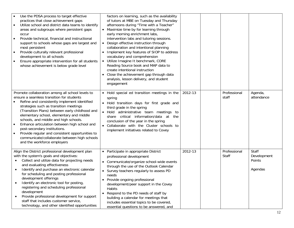| Use the PDSA process to target effective<br>practices that close achievement gaps<br>Utilize school and district data teams to identify<br>$\bullet$<br>areas and subgroups where persistent gaps<br>occur<br>Provide technical, financial and instructional<br>$\bullet$<br>support to schools whose gaps are largest and<br>most persistent<br>Provide culturally relevant professional<br>$\bullet$<br>development to all schools<br>Ensure appropriate intervention for all students<br>$\bullet$<br>whose achievement is below grade level                | factors on learning, such as the availability<br>of tutors at MBE on Tuesday and Thursday<br>afternoons during "Time with a Teacher"<br>Maximize time by for learning through<br>early morning enrichment labs,<br>intervention labs and tutoring sessions.<br>• Design effective instruction through<br>collaboration and intentional planning<br>Implement key features of SIOP to address<br>$\bullet$<br>vocabulary and comprehension<br>Utilize Imagine It benchmark, CORE<br>$\bullet$<br>Reading Source book and MAP data to<br>create intentional instruction<br>Close the achievement gap through data<br>$\bullet$<br>analysis, lesson delivery, and student<br>engagement |         |                       |                                           |
|----------------------------------------------------------------------------------------------------------------------------------------------------------------------------------------------------------------------------------------------------------------------------------------------------------------------------------------------------------------------------------------------------------------------------------------------------------------------------------------------------------------------------------------------------------------|--------------------------------------------------------------------------------------------------------------------------------------------------------------------------------------------------------------------------------------------------------------------------------------------------------------------------------------------------------------------------------------------------------------------------------------------------------------------------------------------------------------------------------------------------------------------------------------------------------------------------------------------------------------------------------------|---------|-----------------------|-------------------------------------------|
| Promote collaboration among all school levels to<br>ensure a seamless transition for students<br>Refine and consistently implement identified<br>strategies such as transition meetings<br>(Transition Plans) between early childhood and<br>elementary school, elementary and middle<br>schools, and middle and high schools.<br>Enhance articulation between high school and<br>post-secondary institutions.<br>Provide regular and consistent opportunities to<br>communicate/collaborate between high schools<br>and the workforce employers               | Hold special ed transition meetings in the<br>spring<br>• Hold transition days for first grade and<br>third grade in the spring<br>· Hold administrative team meetings to<br>share critical information/data at the<br>conclusion of the year in the spring<br>• Collaborate with the Cluster schools to<br>implement initiatives related to Covey                                                                                                                                                                                                                                                                                                                                   | 2012-13 | Professional<br>staff | Agenda,<br>attendance                     |
| Align the District professional development plan<br>with the system's goals and objectives:<br>Collect and utilize data for projecting needs<br>and evaluating effectiveness<br>Identify and purchase an electronic calendar<br>$\bullet$<br>for scheduling and posting professional<br>development offerings<br>Identify an electronic tool for posting,<br>registering and scheduling professional<br>development<br>Provide professional development for support<br>staff that includes customer service,<br>technology, and other identified opportunities | Participate in appropriate District<br>$\bullet$<br>professional development<br>Communicate/organize school-wide events<br>$\bullet$<br>through the use of the Outlook Calendar<br>• Survey teachers regularly to assess PD<br>needs<br>Provide ongoing professional<br>development/peer support in the Covey<br>Habits<br>Respond to the PD needs of staff by<br>$\bullet$<br>building a calendar for meetings that<br>includes essential topics to be covered,<br>essential questions to be answered, and                                                                                                                                                                          | 2012-13 | Professional<br>Staff | Staff<br>Development<br>Points<br>Agendas |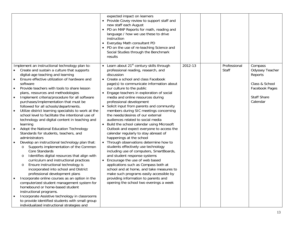|                                                                                                                                       |                                                                                                                                                                                                                                                                                                                                                                                                                                                                                                                                                                                                                                                                                                                                                                                                                                                                                                                                                                                                                                                                                                                                                                                                                                                                                                                                                  | expected impact on learners<br>• Provide Covey review to support staff and<br>new staff each August<br>• PD on MAP Reports for math, reading and<br>language / how we use these to drive<br>instruction<br>Everyday Math consultant PD<br>• PD on the use of re-teaching Science and<br>Social Studies through the Benchmark<br>results                                                                                                                                                                                                                                                                                                                                                                                                                                                                                                                                                                                                                                                                                                                                                         |         |                       |                                                                                                             |
|---------------------------------------------------------------------------------------------------------------------------------------|--------------------------------------------------------------------------------------------------------------------------------------------------------------------------------------------------------------------------------------------------------------------------------------------------------------------------------------------------------------------------------------------------------------------------------------------------------------------------------------------------------------------------------------------------------------------------------------------------------------------------------------------------------------------------------------------------------------------------------------------------------------------------------------------------------------------------------------------------------------------------------------------------------------------------------------------------------------------------------------------------------------------------------------------------------------------------------------------------------------------------------------------------------------------------------------------------------------------------------------------------------------------------------------------------------------------------------------------------|-------------------------------------------------------------------------------------------------------------------------------------------------------------------------------------------------------------------------------------------------------------------------------------------------------------------------------------------------------------------------------------------------------------------------------------------------------------------------------------------------------------------------------------------------------------------------------------------------------------------------------------------------------------------------------------------------------------------------------------------------------------------------------------------------------------------------------------------------------------------------------------------------------------------------------------------------------------------------------------------------------------------------------------------------------------------------------------------------|---------|-----------------------|-------------------------------------------------------------------------------------------------------------|
| $\bullet$<br>$\bullet$<br>$\bullet$<br>$\bullet$<br>$\bullet$<br>$\bullet$<br>$\circ$<br>$\circ$<br>$\circ$<br>$\bullet$<br>$\bullet$ | Implement an instructional technology plan to:<br>Create and sustain a culture that supports<br>digital-age teaching and learning<br>Ensure effective utilization of hardware and<br>software<br>Provide teachers with tools to share lesson<br>plans, resources and methodologies<br>Implement criteria/procedure for all software<br>purchases/implementation that must be<br>followed for all schools/departments.<br>Utilize district learning specialists to work at the<br>school level to facilitate the intentional use of<br>technology and digital content in teaching and<br>learning<br>Adopt the National Education Technology<br>Standards for students, teachers, and<br>administrators<br>Develop an instructional technology plan that:<br>Supports implementation of the Common<br>Core Standards<br>Identifies digital resources that align with<br>curriculum and instructional practices<br>Ensure instructional technology is<br>incorporated into school and District<br>professional development plans<br>Incorporate online courses as an option in the<br>computerized student management system for<br>homebound or home-based student<br>instructional programs.<br>Incorporate Assistive technology in classrooms<br>to provide identified students with small group<br>individualized instructional strategies and | • Learn about $21st$ century skills through<br>professional reading, research, and<br>discussion<br>• Create a school and class Facebook<br>page(s) to communicate information about<br>our culture to the public<br>• Engage teachers in exploration of social<br>media and online resources during<br>professional development<br>• Solicit input from parents and community<br>members during SIC meetings concerning<br>the needs/desires of our external<br>audiences related to social media<br>Build the school calendar using Microsoft<br>$\bullet$<br>Outlook and expect everyone to access the<br>calendar regularly to stay abreast of<br>happenings at the school<br>• Through observations determine how to<br>students effectively use technology<br>including use of computers, SmartBoards,<br>and student response systems<br>Encourage the use of web based<br>applications such as Compass both at<br>school and at home, and take measures to<br>make such programs easily accessible by<br>providing information to parents and<br>opening the school two evenings a week | 2012-13 | Professional<br>Staff | Compass<br>Odyssey Teacher<br>Reports<br>Class & School<br>Facebook Pages<br><b>Staff Share</b><br>Calendar |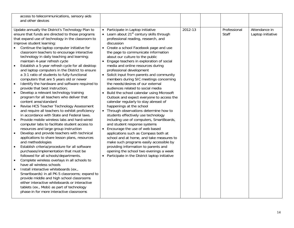| access to telecommunications, sensory aids<br>and other devices                                                                                                                                                                                                                                                                                                                                                                                                                                                                                                                                                                                                                                                                                                                                                                                                                                                                                                                                                                                                                                                                                                                                                                                                                                                                                                                                                                                                                                                                                                                                                                                                                                                                                                                               |                                                                                                                                                                                                                                                                                                                                                                                                                                                                                                                                                                                                                                                                                                                                                                                                                                                                                                                                                                                                                                                                                                                                                                                                                                        |         |                              |                                    |
|-----------------------------------------------------------------------------------------------------------------------------------------------------------------------------------------------------------------------------------------------------------------------------------------------------------------------------------------------------------------------------------------------------------------------------------------------------------------------------------------------------------------------------------------------------------------------------------------------------------------------------------------------------------------------------------------------------------------------------------------------------------------------------------------------------------------------------------------------------------------------------------------------------------------------------------------------------------------------------------------------------------------------------------------------------------------------------------------------------------------------------------------------------------------------------------------------------------------------------------------------------------------------------------------------------------------------------------------------------------------------------------------------------------------------------------------------------------------------------------------------------------------------------------------------------------------------------------------------------------------------------------------------------------------------------------------------------------------------------------------------------------------------------------------------|----------------------------------------------------------------------------------------------------------------------------------------------------------------------------------------------------------------------------------------------------------------------------------------------------------------------------------------------------------------------------------------------------------------------------------------------------------------------------------------------------------------------------------------------------------------------------------------------------------------------------------------------------------------------------------------------------------------------------------------------------------------------------------------------------------------------------------------------------------------------------------------------------------------------------------------------------------------------------------------------------------------------------------------------------------------------------------------------------------------------------------------------------------------------------------------------------------------------------------------|---------|------------------------------|------------------------------------|
| Update annually the District's Technology Plan to<br>ensure that funds are directed to those programs<br>that expand use of technology in the classroom to<br>improve student learning:<br>Continue the laptop computer initiative for<br>classroom teachers to encourage interactive<br>technology in daily teaching and learning;<br>maintain 4-year refresh cycle<br>Establish a 5-year refresh cycle for all desktop<br>$\bullet$<br>and laptop computers in the District to ensure<br>a 3:1 ratio of students to fully-functional<br>computers that are 5 years old or newer<br>Identify the hardware and software required to<br>$\bullet$<br>provide that best instruction;<br>Develop a relevant technology training<br>$\bullet$<br>program for all teachers who deliver that<br>content area/standard<br>Revise HCS Teacher Technology Assessment<br>$\bullet$<br>and require all teachers to exhibit proficiency<br>in accordance with State and Federal laws.<br>Provide mobile wireless labs and hard-wired<br>$\bullet$<br>computer labs to facilitate student access to<br>resources and large group instruction<br>Develop and provide teachers with technical<br>$\bullet$<br>applications to share lesson plans, resources<br>and methodologies<br>Establish criteria/procedure for all software<br>purchases/implementation that must be<br>followed for all schools/departments.<br>Complete wireless overlays in all schools to<br>$\bullet$<br>have all wireless schools<br>Install interactive whiteboards (ex.,<br>$\bullet$<br>Smartboards) in all PK-5 classrooms; expand to<br>provide middle and high school classrooms<br>either interactive whiteboards or interactive<br>tablets (ex., Mobi) as part of technology<br>phase-in for more interactive classrooms | Participate in Laptop initiative<br>• Learn about $21st$ century skills through<br>professional reading, research, and<br>discussion<br>Create a school Facebook page and use<br>$\bullet$<br>the page to communicate information<br>about our culture to the public<br>Engage teachers in exploration of social<br>$\bullet$<br>media and online resources during<br>professional development<br>Solicit input from parents and community<br>$\bullet$<br>members during SIC meetings concerning<br>the needs/desires of our external<br>audiences related to social media<br>Build the school calendar using Microsoft<br>$\bullet$<br>Outlook and expect everyone to access the<br>calendar regularly to stay abreast of<br>happenings at the school<br>• Through observations determine how to<br>students effectively use technology<br>including use of computers, SmartBoards,<br>and student response systems<br>Encourage the use of web based<br>applications such as Compass both at<br>school and at home, and take measures to<br>make such programs easily accessible by<br>providing information to parents and<br>opening the school two evenings a week<br>Participate in the District laptop initiative<br>$\bullet$ | 2012-13 | Professional<br><b>Staff</b> | Attendance in<br>Laptop initiative |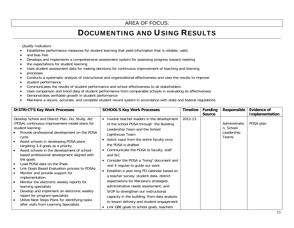## DOCUMENTING AND USING RESULTS

Quality Indicators

- •Establishes performance measures for student learning that yield information that is reliable, valid,
- •and bias free
- •Develops and implements a comprehensive assessment system for assessing progress toward meeting
- •the expectations for student learning
- •Uses student assessment data for making decisions for continuous improvement of teaching and learning
- •processes
- •Conducts a systematic analysis of instructional and organizational effectiveness and uses the results to improve
- •student performance
- •Communicates the results of student performance and school effectiveness to all stakeholders
- •Uses comparison and trend data of student performance from comparable schools in evaluating its effectiveness
- •Demonstrates verifiable growth in student performance
- •Maintains a secure, accurate, and complete student record system in accordance with state and federal regulations

| <b>DISTRICT'S Key Work Processes</b>                                                                                                                                                                                                                                                                                                                                                                                                                                                                                                                                                                                                                                                                                                                                         | <b>SCHOOL'S Key Work Processes</b>                                                                                                                                                                                                                                                                                                                                                                                                                                                                                                                                                                                                                                                                                                  | <b>Timeline</b> | <b>Funding</b><br><b>Source</b> | Responsible                                              | Evidence of<br><b>Implementation</b> |
|------------------------------------------------------------------------------------------------------------------------------------------------------------------------------------------------------------------------------------------------------------------------------------------------------------------------------------------------------------------------------------------------------------------------------------------------------------------------------------------------------------------------------------------------------------------------------------------------------------------------------------------------------------------------------------------------------------------------------------------------------------------------------|-------------------------------------------------------------------------------------------------------------------------------------------------------------------------------------------------------------------------------------------------------------------------------------------------------------------------------------------------------------------------------------------------------------------------------------------------------------------------------------------------------------------------------------------------------------------------------------------------------------------------------------------------------------------------------------------------------------------------------------|-----------------|---------------------------------|----------------------------------------------------------|--------------------------------------|
| Develop School and District Plan, Do, Study, Act<br>(PDSA) continuous improvement model plans for<br>student learning<br>Provide professional development on the PDSA<br>cycle<br>Assist schools in developing PDSA plans<br>targeting 3-4 goals as a priority<br>Assist schools in the development of school-<br>$\bullet$<br>based professional development aligned with<br>the goals<br>Load PDSA data on the iPads<br>Link Goals Based Evaluation process to PDSAs<br>Monitor and provide support for<br>implementation<br>Monitor the electronic weekly reports for<br>learning specialists<br>Develop and implement an electronic weekly<br>report for program specialists<br>Utilize Next Steps Plans for identifying tasks<br>after visits from Learning Specialists | Involve teacher leaders in the development<br>$\bullet$<br>of the school PDSA through the Building<br>Leadership Team and the School<br>Lighthouse Team<br>Solicit input from the entire faculty once<br>the PDSA is drafted<br>• Communicate the PDSA to faculty, staff<br>and SIC<br>Consider the PDSA a "living" document and<br>visit it regular to guide our work<br>Establish a year-long PD calendar based on<br>a teacher survey, student data, district<br>expectations for Marzano's strategies,<br>administrative needs assessment, and<br>SIOP to strengthen our instructional<br>capacity in the building, from data analysis<br>to lesson delivery and student engagement<br>Link GBE goals to school goals, teachers | 2012-13         |                                 | Administratio<br>n, School<br>Leadership<br><b>Teams</b> | PDSA plan                            |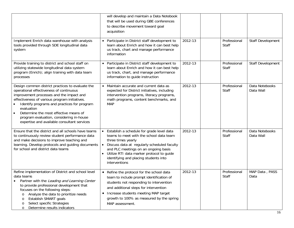|                                                                                                                                                                                                                                                                                                                                                                                           | will develop and maintain a Data Notebook<br>that will be used during GBE conferences<br>to describe movement toward goal<br>acquisition                                                                                                                                                                   |         |                       |                             |
|-------------------------------------------------------------------------------------------------------------------------------------------------------------------------------------------------------------------------------------------------------------------------------------------------------------------------------------------------------------------------------------------|------------------------------------------------------------------------------------------------------------------------------------------------------------------------------------------------------------------------------------------------------------------------------------------------------------|---------|-----------------------|-----------------------------|
| Implement Enrich data warehouse with analysis<br>tools provided through SDE longitudinal data<br>system                                                                                                                                                                                                                                                                                   | • Participate in District staff development to<br>learn about Enrich and how it can best help<br>us track, chart and manage performance<br>information                                                                                                                                                     | 2012-13 | Professional<br>Staff | Staff Development           |
| Provide training to district and school staff on<br>utilizing statewide longitudinal data system<br>program (Enrich); align training with data team<br>processes                                                                                                                                                                                                                          | Participate in District staff development to<br>$\bullet$<br>learn about Enrich and how it can best help<br>us track, chart, and manage performance<br>information to guide instruction                                                                                                                    | 2012-13 | Professional<br>Staff | Staff Development           |
| Design common district practices to evaluate the<br>operational effectiveness of continuous<br>improvement processes and the impact and<br>effectiveness of various program initiatives.<br>Identify programs and practices for program<br>evaluation<br>Determine the most effective means of<br>program evaluation, considering in-house<br>expertise and available consultant services | Maintain accurate and current data as<br>$\bullet$<br>expected for District initiatives, including<br>intervention programs, literacy programs,<br>math programs, content benchmarks, and<br><b>MAP</b>                                                                                                    | 2012-13 | Professional<br>Staff | Data Notebooks<br>Data Wall |
| Ensure that the district and all schools have teams<br>to continuously review student performance data<br>and make decisions to improve teaching and<br>learning. Develop protocols and guiding documents<br>for school and district data teams                                                                                                                                           | • Establish a schedule for grade level data<br>teams to meet with the school data team<br>three times yearly<br>Discuss data at regularly scheduled faculty<br>and PLC meetings on an ongoing basis<br>Utilize RTI data marker protocol to guide<br>identifying and placing students into<br>interventions | 2012-13 | Professional<br>Staff | Data Notebooks<br>Data Wall |
| Refine implementation of District and school level<br>data teams<br>Partner with the Leading and Learning Center<br>to provide professional development that<br>focuses on the following steps:<br>Analyze the data to prioritize needs<br>Establish SMART goals<br>O<br>Select specific Strategies<br>$\circ$<br>Determine results indicators<br>$\circ$                                 | • Refine the protocol for the school data<br>team to include prompt identification of<br>students not responding to intervention<br>and additional steps for intervention<br>Increase students meeting MAP target<br>$\bullet$<br>growth to 100% as measured by the spring<br>MAP assessment.              | 2012-13 | Professional<br>Staff | MAP Data, PASS<br>Data      |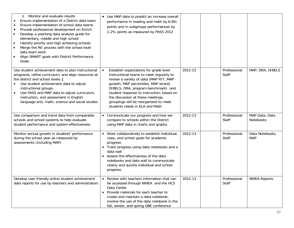| Monitor and evaluate results<br>$\circ$<br>Ensure implementation of a District data team<br>Ensure implementation of school data teams<br>$\bullet$<br>Provide professional development on Enrich<br>$\bullet$<br>Develop a yearlong data analysis guide for<br>$\bullet$<br>elementary, middle and high school<br>Identify priority and high achieving schools<br>$\bullet$<br>Merge the RtI process with the school level<br>$\bullet$<br>data team work<br>Align SMART goals with District Performance<br>$\bullet$<br>Goals | • Use MAP data to predict an increase overall<br>performance in reading and math by 6-8%<br>points and in subgroups performances by<br>1-2% points as measured by PASS 2012                                                                                                                                                                                                           |         |                       |                               |
|---------------------------------------------------------------------------------------------------------------------------------------------------------------------------------------------------------------------------------------------------------------------------------------------------------------------------------------------------------------------------------------------------------------------------------------------------------------------------------------------------------------------------------|---------------------------------------------------------------------------------------------------------------------------------------------------------------------------------------------------------------------------------------------------------------------------------------------------------------------------------------------------------------------------------------|---------|-----------------------|-------------------------------|
| Use student achievement data to plan instructional<br>programs, refine curriculum, and align resources at<br>the district and school levels. (<br>Use student achievement data to adjust<br>instructional groups.<br>Use PASS and MAP data to adjust curriculum,<br>instruction, and assessment in English<br>language arts, math, science and social studies                                                                                                                                                                   | Establish expectations for grade level<br>$\bullet$<br>instructional teams to meet regularly to<br>review a variety of data (MAP RIT, MAP<br>growth, MAP percentiles, MAP strand,<br>DIBELS, DRA, program benchmark) and<br>student response to instruction; based on<br>the discussion at these meetings,<br>groupings will be reorganized to meet<br>students needs in ELA and Math | 2012-13 | Professional<br>Staff | MAP, DRA, DIBELS              |
| Use comparison and trend data from comparable<br>schools and school systems to help evaluate<br>student performance and system effectiveness.                                                                                                                                                                                                                                                                                                                                                                                   | • Communicate our progress and how we<br>compare to schools within the District<br>using MAP data in charts and graphs                                                                                                                                                                                                                                                                | 2012-13 | Professional<br>Staff | MAP Data, Data<br>Notebooks   |
| Monitor annual growth in students' performance<br>during the school year as measured by<br>assessments (including MAP)                                                                                                                                                                                                                                                                                                                                                                                                          | • Work collaboratively to establish individual,<br>class, and school goals for academic<br>progress<br>• Track progress using data notebooks and a<br>data wall<br>• Assess the effectiveness of the data<br>notebooks and data wall to communicate<br>clearly and quickly individual and school<br>progress                                                                          | 2012-13 | Professional<br>Staff | Data Notebooks,<br><b>MAP</b> |
| Develop user-friendly online student achievement<br>data reports for use by teachers and administrators                                                                                                                                                                                                                                                                                                                                                                                                                         | • Review with teachers information that can<br>be accessed through NWEA and the HCS<br>Data Center<br>Provide materials for each teacher to<br>$\bullet$<br>create and maintain a data notebook;<br>involve the use of the data notebook in the<br>fall, winter, and spring GBE conference                                                                                            | 2012-13 | Professional<br>Staff | <b>NWEA Reports</b>           |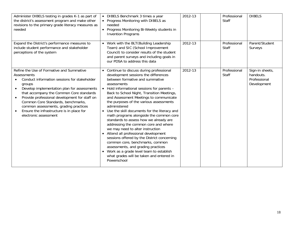| Administer DIBELS testing in grades K-1 as part of<br>the district's assessment program and make other<br>revisions to the primary grade literacy measures as<br>needed                                                                                                                                                                                                                                                                                    | • DIBELS Benchmark 3 times a year<br>• Progress Monitoring with DIBELS as<br>needed<br>• Progress Monitoring Bi-Weekly students in<br><b>Invention Programs</b>                                                                                                                                                                                                                                                                                                                                                                                                                                                                                                                                                                                                                                                                   | 2012-13 | Professional<br>Staff | <b>DIBELS</b>                                               |
|------------------------------------------------------------------------------------------------------------------------------------------------------------------------------------------------------------------------------------------------------------------------------------------------------------------------------------------------------------------------------------------------------------------------------------------------------------|-----------------------------------------------------------------------------------------------------------------------------------------------------------------------------------------------------------------------------------------------------------------------------------------------------------------------------------------------------------------------------------------------------------------------------------------------------------------------------------------------------------------------------------------------------------------------------------------------------------------------------------------------------------------------------------------------------------------------------------------------------------------------------------------------------------------------------------|---------|-----------------------|-------------------------------------------------------------|
| Expand the District's performance measures to<br>include student performance and stakeholder<br>perceptions of the system                                                                                                                                                                                                                                                                                                                                  | • Work with the BLT (Building Leadership<br>Team) and SIC (School Improvement<br>Council) to consider results of the student<br>and parent surveys and including goals in<br>our PDSA to address this data                                                                                                                                                                                                                                                                                                                                                                                                                                                                                                                                                                                                                        | 2012-13 | Professional<br>Staff | Parent/Student<br>Surveys                                   |
| Refine the Use of Formative and Summative<br>Assessments<br>Conduct information sessions for stakeholder<br>groups<br>Develop implementation plan for assessments<br>$\bullet$<br>that accompany the Common Core standards<br>Provide professional development for staff on<br>$\bullet$<br>Common Core Standards, benchmarks,<br>common assessments, grading practices<br>Ensure the infrastructure is in place for<br>$\bullet$<br>electronic assessment | • Continue to discuss during professional<br>development sessions the differences<br>between formative and summative<br>assessments<br>• Hold informational sessions for parents -<br>Back to School Night, Transition Meetings,<br>and Assessment Meetings to communicate<br>the purposes of the various assessments<br>administered<br>• Use the skill documents for the literacy and<br>math programs alongside the common core<br>standards to assess how we already are<br>addressing the common core and where<br>we may need to alter instruction<br>• Attend all professional development<br>sessions offered by the District concerning<br>common core, benchmarks, common<br>assessments, and grading practices<br>• Work as a grade level team to establish<br>what grades will be taken and entered in<br>Powerschool | 2012-13 | Professional<br>Staff | Sign-in sheets,<br>handouts.<br>Professional<br>Development |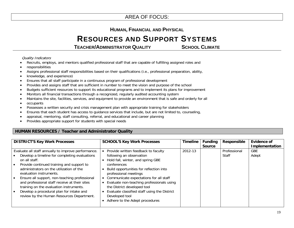### **HUMAN, FINANCIAL AND PHYSICAL**

### RESOURCES AND SUPPORT SYSTEMS

**TEACHER/ADMINISTRATOR QUALITY SCHOOL CLIMATE** 

Quality Indicators

- •Recruits, employs, and mentors qualified professional staff that are capable of fulfilling assigned roles and
- •responsibilities
- •Assigns professional staff responsibilities based on their qualifications (i.e., professional preparation, ability,
- •knowledge, and experience)
- •Ensures that all staff participate in a continuous program of professional development
- •Provides and assigns staff that are sufficient in number to meet the vision and purpose of the school
- •Budgets sufficient resources to support its educational programs and to implement its plans for improvement
- •Monitors all financial transactions through a recognized, regularly audited accounting system
- •Maintains the site, facilities, services, and equipment to provide an environment that is safe and orderly for all
- •occupants
- •Possesses a written security and crisis management plan with appropriate training for stakeholders
- •Ensures that each student has access to guidance services that include, but are not limited to, counseling,
- •appraisal, mentoring, staff consulting, referral, and educational and career planning
- •Provides appropriate support for students with special needs

### **HUMAN RESOURCES / Teacher and Administrator Quality**

| <b>DISTRICT'S Key Work Processes</b>                                                                                                                                                                                                                                                                                                                                                                                                                                            | <b>SCHOOL'S Key Work Processes</b>                                                                                                                                                                                                                                                                                                                                                                                | <b>Timeline</b> | <b>Funding</b><br><b>Source</b> | Responsible           | <b>Evidence of</b><br>Implementation |
|---------------------------------------------------------------------------------------------------------------------------------------------------------------------------------------------------------------------------------------------------------------------------------------------------------------------------------------------------------------------------------------------------------------------------------------------------------------------------------|-------------------------------------------------------------------------------------------------------------------------------------------------------------------------------------------------------------------------------------------------------------------------------------------------------------------------------------------------------------------------------------------------------------------|-----------------|---------------------------------|-----------------------|--------------------------------------|
| Evaluate all staff annually to improve performance.<br>Develop a timeline for completing evaluations<br>on all staff.<br>Provide continued training and support to<br>administrators on the utilization of the<br>evaluation instruments.<br>Ensure all support, non-teaching professional<br>and professional staff receive at their sites<br>training on the evaluation instruments.<br>Develop a procedural plan for intake and<br>review by the Human Resources Department. | Provide written feedback to faculty<br>following an observation<br>Hold fall, winter, and spring GBE<br>conferences<br>Build opportunities for reflection into<br>professional meetings<br>Communicate expectations for all staff<br>Evaluate non-teaching professionals using<br>the District developed tool<br>Evaluate classified staff using the District<br>Developed tool<br>Adhere to the Adept procedures | 2012-13         |                                 | Professional<br>Staff | <b>GBE</b><br>Adept                  |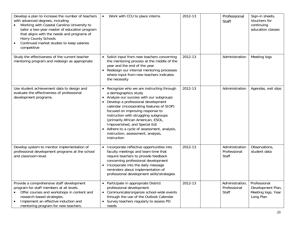| Develop a plan to increase the number of teachers<br>with advanced degrees, including:<br>Working with Coastal Carolina University to<br>tailor a two-year master of education program<br>that aligns with the needs and programs of<br><b>Horry County Schools</b><br>Continued market studies to keep salaries<br>$\bullet$<br>competitive | Work with CCU to place interns<br>$\bullet$                                                                                                                                                                                                                                                                                                                                                                                                                | 2012-13 | Professional<br><b>Staff</b>             | Sign-in sheets,<br>Vouchers for<br>continuing<br>education classes   |
|----------------------------------------------------------------------------------------------------------------------------------------------------------------------------------------------------------------------------------------------------------------------------------------------------------------------------------------------|------------------------------------------------------------------------------------------------------------------------------------------------------------------------------------------------------------------------------------------------------------------------------------------------------------------------------------------------------------------------------------------------------------------------------------------------------------|---------|------------------------------------------|----------------------------------------------------------------------|
| Study the effectiveness of the current teacher<br>mentoring program and redesign as appropriate                                                                                                                                                                                                                                              | • Solicit input from new teachers concerning<br>the mentoring process at the middle of the<br>year and the end of the year<br>• Redesign our internal mentoring processes<br>where input from new teachers indicates<br>the necessity                                                                                                                                                                                                                      | 2012-13 | Administration                           | Meeting logs                                                         |
| Use student achievement data to design and<br>evaluate the effectiveness of professional<br>development programs.                                                                                                                                                                                                                            | • Recognize who we are instructing through<br>a demographics study<br>• Analyze our success with our subgroups<br>Develop a professional development<br>calendar (incorporating features of SIOP)<br>focused on improving response to<br>instruction with struggling subgroups<br>(primarily African American, ESOL,<br>Impoverished, and Special Ed)<br>• Adhere to a cycle of assessment, analysis,<br>instruction, assessment, analysis,<br>instruction | 2012-13 | Administration                           | Agendas, exit slips                                                  |
| Develop system to monitor implementation of<br>professional development programs at the school<br>and classroom level.                                                                                                                                                                                                                       | • Incorporate reflective opportunities into<br>faculty meetings and team time that<br>require teachers to provide feedback<br>concerning professional development<br>• Incorporate into the daily message<br>reminders about implementation of<br>professional development skills/strategies                                                                                                                                                               | 2012-13 | Administration<br>Professional<br>Staff  | Observations,<br>student data                                        |
| Provide a comprehensive staff development<br>program for staff members at all levels.<br>Offer courses and workshops in content and<br>$\bullet$<br>research-based strategies.<br>Implement an effective induction and<br>$\bullet$<br>mentoring program for new teachers.                                                                   | • Participate in appropriate District<br>professional development<br>• Communicate/organize school-wide events<br>through the use of the Outlook Calendar<br>• Survey teachers regularly to assess PD<br>needs                                                                                                                                                                                                                                             | 2012-13 | Administration,<br>Professional<br>Staff | Professional<br>Development Plan,<br>Meeting logs, Year<br>Long Plan |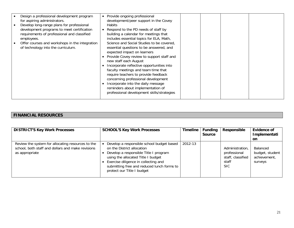| Design a professional development program<br>for aspiring administrators.<br>Develop long-range plans for professional<br>development programs to meet certification<br>requirements of professional and classified<br>employees.<br>Offer courses and workshops in the integration<br>of technology into the curriculum. | Provide ongoing professional<br>$\bullet$<br>development/peer support in the Covey<br><b>Habits</b><br>Respond to the PD needs of staff by<br>$\bullet$<br>building a calendar for meetings that<br>includes essential topics for ELA, Math,<br>Science and Social Studies to be covered,<br>essential questions to be answered, and<br>expected impact on learners<br>• Provide Covey review to support staff and<br>new staff each August<br>Incorporate reflective opportunities into<br>faculty meetings and team time that<br>require teachers to provide feedback<br>concerning professional development<br>Incorporate into the daily message<br>reminders about implementation of<br>professional development skills/strategies |  |  |  |
|---------------------------------------------------------------------------------------------------------------------------------------------------------------------------------------------------------------------------------------------------------------------------------------------------------------------------|-----------------------------------------------------------------------------------------------------------------------------------------------------------------------------------------------------------------------------------------------------------------------------------------------------------------------------------------------------------------------------------------------------------------------------------------------------------------------------------------------------------------------------------------------------------------------------------------------------------------------------------------------------------------------------------------------------------------------------------------|--|--|--|
|---------------------------------------------------------------------------------------------------------------------------------------------------------------------------------------------------------------------------------------------------------------------------------------------------------------------------|-----------------------------------------------------------------------------------------------------------------------------------------------------------------------------------------------------------------------------------------------------------------------------------------------------------------------------------------------------------------------------------------------------------------------------------------------------------------------------------------------------------------------------------------------------------------------------------------------------------------------------------------------------------------------------------------------------------------------------------------|--|--|--|

### **FINANCIAL RESOURCES**

| <b>DISTRICT'S Key Work Processes</b>                                                                                     | <b>SCHOOL'S Key Work Processes</b>                                                                                                                                                                                                                                         | Timeline | <b>Funding</b><br><b>Source</b> | Responsible                                                           | Evidence of<br>Implementati<br>.on                     |
|--------------------------------------------------------------------------------------------------------------------------|----------------------------------------------------------------------------------------------------------------------------------------------------------------------------------------------------------------------------------------------------------------------------|----------|---------------------------------|-----------------------------------------------------------------------|--------------------------------------------------------|
| Review the system for allocating resources to the<br>school, both staff and dollars and make revisions<br>as appropriate | Develop a responsible school budget based<br>on the District allocation<br>Develop a responsible Title I program<br>using the allocated Title I budget<br>Exercise diligence in collecting and<br>submitting free and reduced lunch forms to<br>protect our Title I budget | 2012-13  |                                 | Administration,<br>professional<br>staff, classified<br>staff<br>SIC. | Balanced<br>budget, student<br>achievement,<br>surveys |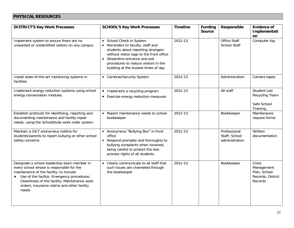### **PHYSICAL RESOURCES**

| <b>DISTRICT'S Key Work Processes</b>                                                                                                                                                                                                                                                           | <b>SCHOOL'S Key Work Processes</b>                                                                                                                                                                                                                                                      | <b>Timeline</b> | <b>Funding</b><br><b>Source</b> | Responsible                                     | <b>Evidence of</b><br>Implementati<br>on                             |
|------------------------------------------------------------------------------------------------------------------------------------------------------------------------------------------------------------------------------------------------------------------------------------------------|-----------------------------------------------------------------------------------------------------------------------------------------------------------------------------------------------------------------------------------------------------------------------------------------|-----------------|---------------------------------|-------------------------------------------------|----------------------------------------------------------------------|
| Implement system to ensure there are no<br>unwanted or unidentified visitors on any campus                                                                                                                                                                                                     | School Check-in System<br>$\bullet$<br>Reminders to faculty, staff and<br>$\bullet$<br>students about reporting strangers<br>without visitor tags to the front office<br>• Streamline entrance and exit<br>procedures to reduce visitors in the<br>building at the busiest times of day | 2012-13         |                                 | <b>Office Staff</b><br><b>School Staff</b>      | Computer log                                                         |
| Install state-of-the-art monitoring systems in<br>facilities                                                                                                                                                                                                                                   | • Cameras/Security System                                                                                                                                                                                                                                                               | 2012-13         |                                 | Administration                                  | Camera tapes                                                         |
| Implement energy reduction systems using school<br>energy conversation modules.                                                                                                                                                                                                                | • Implement a recycling program<br>Exercise energy reduction measures<br>$\bullet$                                                                                                                                                                                                      | 2012-13         |                                 | All staff                                       | Student Led<br>Recycling Team<br>Safe School<br>Training             |
| Establish protocols for identifying, reporting and<br>documenting maintenance and facility repair<br>needs, using the SchoolDude work order system                                                                                                                                             | Report maintenance needs to school<br>$\bullet$<br>bookkeeper                                                                                                                                                                                                                           | 2012-13         |                                 | Bookkeeper                                      | Maintenance<br>request forms                                         |
| Maintain a 24/7 anonymous hotline for<br>students/parents to report bullying or other school<br>safety concerns                                                                                                                                                                                | • Anonymous "Bullying Box" in front<br>office<br>Respond promptly and thoroughly to<br>$\bullet$<br>bullying complaints when received,<br>being careful to protect the due<br>process rights of all students                                                                            | 2012-13         |                                 | Professional<br>Staff; School<br>administration | Written<br>documentation                                             |
| Designate a school leadership team member in<br>every school whose is responsible for the<br>maintenance of the facility, to include:<br>• Use of the facility; Emergency procedures;<br>Cleanliness of the facility; Maintenance work<br>orders, insurance claims and other facility<br>needs | Clearly communicate to all staff that<br>$\bullet$<br>such issues are channeled through<br>the bookkeeper                                                                                                                                                                               | 2012-13         |                                 | Bookkeeper                                      | Crisis<br>Management<br>Plan, School<br>Records, District<br>Records |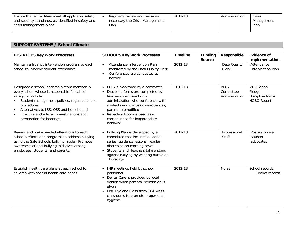| Ensure that all facilities meet all applicable safety | Regularly review and revise as  | 2012-13 | Administration | Crisis     |
|-------------------------------------------------------|---------------------------------|---------|----------------|------------|
| and security standards, as identified in safety and   | necessary the Crisis Management |         |                | Management |
| crisis management plans                               | Plan                            |         |                | Plan       |
|                                                       |                                 |         |                |            |

### **SUPPORT SYSTEMS / School Climate**

| <b>DISTRICT'S Key Work Processes</b>                                                                                                                                                                                                                                                                  | <b>SCHOOL'S Key Work Processes</b>                                                                                                                                                                                                                                                                  | <b>Timeline</b> | <b>Funding</b><br>Source | Responsible                         | <b>Evidence of</b><br>Implementation                                  |
|-------------------------------------------------------------------------------------------------------------------------------------------------------------------------------------------------------------------------------------------------------------------------------------------------------|-----------------------------------------------------------------------------------------------------------------------------------------------------------------------------------------------------------------------------------------------------------------------------------------------------|-----------------|--------------------------|-------------------------------------|-----------------------------------------------------------------------|
| Maintain a truancy intervention program at each<br>school to improve student attendance                                                                                                                                                                                                               | Attendance Intervention Plan<br>$\bullet$<br>monitored by the Data Quality Clerk<br>Conferences are conducted as<br>$\bullet$<br>needed                                                                                                                                                             | 2012-13         |                          | Data Quality<br>Clerk               | Attendance<br><b>Intervention Plan</b>                                |
| Designate a school leadership team member in<br>every school whose is responsible for school<br>safety, to include:<br>Student management policies, regulations and<br>procedures<br>Alternatives to ISS, OSS and homebound<br>Effective and efficient investigations and<br>preparation for hearings | • PBIS is monitored by a committee<br>Discipline forms are completed by<br>$\bullet$<br>teachers, discussed with<br>administration who conference with<br>students and discuss consequences,<br>parents are notified<br>• Reflection Room is used as a<br>consequence for inappropriate<br>behavior | 2012-13         |                          | PBIS<br>Committee<br>Administration | <b>MBE School</b><br>Pledge<br>Discipline forms<br><b>HOBO Report</b> |
| Review and make needed alterations to each<br>school's efforts and programs to address bullying,<br>using the Safe Schools bullying model; Promote<br>awareness of anti-bullying initiatives among<br>employees, students, and parents.                                                               | • Bullying Plan is developed by a<br>committee that includes a video<br>series, guidance lessons, regular<br>discussion on morning news<br>Students and teachers take a stand<br>$\bullet$<br>against bullying by wearing purple on<br>Thursdays                                                    | 2012-13         |                          | Professional<br>Staff               | Posters on wall<br>Student<br>advocates                               |
| Establish health care plans at each school for<br>children with special health care needs                                                                                                                                                                                                             | • IHP meetings held by school<br>personnel<br>• Dental Care is provided by local<br>dentist when parental permission is<br>given<br>Oral Hygiene Class from HGT visits<br>$\bullet$<br>classrooms to promote proper oral<br>hygiene                                                                 | 2012-13         |                          | <b>Nurse</b>                        | School records,<br>District records                                   |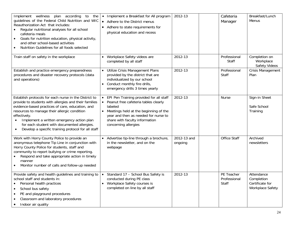| Implement wellness plan according<br>to the<br>guidelines of the Federal Child Nutrition and WIC<br>Reauthorization Act that includes:<br>Regular nutritional analyses for all school<br>cafeteria meals<br>Goals for nutrition education, physical activity,<br>and other school-based activities<br>Nutrition Guidelines for all foods selected<br>$\bullet$                                    | • Implement a Breakfast for All program<br>• Adhere to the District menus<br>Adhere to state requirements for<br>physical education and recess                                                                                          | 2012-13                | Cafeteria<br>Manager                | Breakfast/Lunch<br>Menus                                        |
|---------------------------------------------------------------------------------------------------------------------------------------------------------------------------------------------------------------------------------------------------------------------------------------------------------------------------------------------------------------------------------------------------|-----------------------------------------------------------------------------------------------------------------------------------------------------------------------------------------------------------------------------------------|------------------------|-------------------------------------|-----------------------------------------------------------------|
| Train staff on safety in the workplace                                                                                                                                                                                                                                                                                                                                                            | • Workplace Safety videos are<br>completed by all staff                                                                                                                                                                                 | 2012-13                | Professional<br>Staff               | Completion on<br>Workplace<br><b>Safety Videos</b>              |
| Establish and practice emergency preparedness<br>procedures and disaster recovery protocols (data<br>and operations)                                                                                                                                                                                                                                                                              | • Utilize Crisis Management Plans<br>provided by the district that are<br>individualized by our school<br>• Conduct monthly fire drills,<br>emergency drills 3 times yearly                                                             | 2012-13                | Professional<br>Staff               | Crisis Management<br>Plan                                       |
| Establish protocols for each nurse in the District to<br>provide to students with allergies and their families<br>evidence-based practices of care, education, and<br>resources to manage their allergic condition<br>effectively.<br>Implement a written emergency action plan<br>for each student with documented allergies.<br>Develop a specific training protocol for all staff<br>$\bullet$ | EPI Pen Training provided for all staff<br>Peanut free cafeteria tables clearly<br>labeled<br>• Meetings held at the beginning of the<br>year and then as needed for nurse to<br>share with faculty information<br>concerning allergies | 2012-13                | <b>Nurse</b>                        | Sign-in Sheet<br>Safe School<br>Training                        |
| Work with Horry County Police to provide an<br>anonymous telephone Tip Line in conjunction with<br>Horry County Police for students, staff and<br>community to report bullying or crime reporting.<br>Respond and take appropriate action in timely<br>manner<br>Monitor number of calls and follow-up needed                                                                                     | • Advertise tip-line through a brochure,<br>in the newsletter, and on the<br>webpage                                                                                                                                                    | 2012-13 and<br>ongoing | Office Staff                        | Archived<br>newsletters                                         |
| Provide safety and health guidelines and training to<br>school staff and students in:<br>Personal health practices<br>School bus safety<br>$\bullet$<br>PE and playground procedures<br>$\bullet$<br>Classroom and laboratory procedures<br>Indoor air quality                                                                                                                                    | Standard 17 - School Bus Safety is<br>$\bullet$<br>conducted during PE class<br>• Workplace Safety courses is<br>completed on line by all staff                                                                                         | 2012-13                | PE Teacher<br>Professional<br>Staff | Attendance<br>Completion<br>Certificate for<br>Workplace Safety |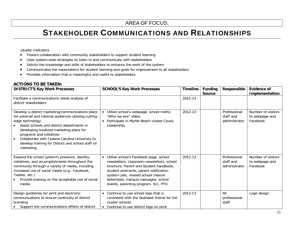## STAKEHOLDER COMMUNICATIONS AND RELATIONSHIPS

#### Quality Indicators

- •Fosters collaboration with community stakeholders to support student learning
- •Uses system-wide strategies to listen to and communicate with stakeholders
- •Solicits the knowledge and skills of stakeholders to enhance the work of the system
- •Communicates the expectations for student learning and goals for improvement to all stakeholders
- •Provides information that is meaningful and useful to stakeholders

### **ACTIONS TO BE TAKEN:**

| <b>DISTRICT'S Key Work Processes</b>                                                                                                                                                                                                                                                                                                                                                   | <b>SCHOOL'S Key Work Processes</b>                                                                                                                                                                                                                                                                          | <b>Timeline</b> | <b>Funding</b><br><b>Source</b> | Responsible                                | Evidence of<br><b>Implementation</b>             |
|----------------------------------------------------------------------------------------------------------------------------------------------------------------------------------------------------------------------------------------------------------------------------------------------------------------------------------------------------------------------------------------|-------------------------------------------------------------------------------------------------------------------------------------------------------------------------------------------------------------------------------------------------------------------------------------------------------------|-----------------|---------------------------------|--------------------------------------------|--------------------------------------------------|
| Facilitate a communications needs analysis of<br>district stakeholders                                                                                                                                                                                                                                                                                                                 |                                                                                                                                                                                                                                                                                                             | 2012-13         |                                 |                                            |                                                  |
| Develop a district marketing/communications plans<br>for external and internal audiences utilizing cutting-<br>edge technology<br>Assist schools and district departments in<br>developing localized marketing plans for<br>programs and initiatives<br>Collaborate with Coastal Carolina University to<br>$\bullet$<br>develop training for District and school staff on<br>marketing | Utilize school's webpage, school motto,<br>"Who we Are" video,<br>Participate in Myrtle Beach cluster Covey<br>Leadership                                                                                                                                                                                   | 2012-13         |                                 | Professional<br>staff and<br>administrator | Number of visitors<br>to webpage and<br>Facebook |
| Expand the school system's presence, identity,<br>initiatives, and accomplishments throughout the<br>community through a variety of media, including<br>increased use of social media (e.g., Facebook,<br>Twitter, etc.)<br>Provide training on the acceptable use of social<br>media                                                                                                  | Utilize school's Facebook page, school<br>$\bullet$<br>newsletters, classroom newsletters, school<br>brochure, Parent and Student handbook,<br>student postcards, parent notification<br>system calls, revised school mascot<br>letterhead, marquis messages, school<br>events, parenting program, SIC, PTO | 2012-13         |                                 | Professional<br>staff and<br>administrator | Number of visitors<br>to webpage and<br>Facebook |
| Design guidelines for print and electronic<br>communications to ensure continuity of district<br>branding<br>Support the communications efforts of district                                                                                                                                                                                                                            | Continue to use school logo that is<br>consistent with the Seahawk theme for the<br>cluster schools<br>• Continue to use district logo on print                                                                                                                                                             | 2012-13         |                                 | All<br>professional<br>staff               | Logo design                                      |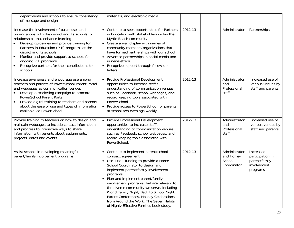| departments and schools to ensure consistency<br>of message and design                                                                                                                                                                                                                                                                                                                               | materials, and electronic media                                                                                                                                                                                                                                                                                                                                                                                                                                                                              |         |                                                     |                                                                           |
|------------------------------------------------------------------------------------------------------------------------------------------------------------------------------------------------------------------------------------------------------------------------------------------------------------------------------------------------------------------------------------------------------|--------------------------------------------------------------------------------------------------------------------------------------------------------------------------------------------------------------------------------------------------------------------------------------------------------------------------------------------------------------------------------------------------------------------------------------------------------------------------------------------------------------|---------|-----------------------------------------------------|---------------------------------------------------------------------------|
| Increase the involvement of businesses and<br>organizations with the district and its schools for<br>relationships that enhance learning<br>Develop guidelines and provide training for<br>Partners in Education (PIE) programs at the<br>district and its schools<br>Monitor and provide support to schools for<br>ongoing PIE programs<br>Recognize partners for their contributions to<br>schools | • Continue to seek opportunities for Partners<br>in Education with stakeholders within the<br>Myrtle Beach community<br>• Create a wall display with names of<br>community members/organizations that<br>have formed partnerships with our school<br>• Advertise partnerships in social media and<br>in newsletters<br>Recognize support through follow-up<br>$\bullet$<br>letters                                                                                                                           | 2012-13 | Administrator                                       | Partnerships                                                              |
| Increase awareness and encourage use among<br>teachers and parents of PowerSchool Parent Portal<br>and webpages as communication venues<br>Develop a marketing campaign to promote<br>PowerSchool Parent Portal<br>Provide digital training to teachers and parents<br>about the ease of use and types of information<br>available via PowerSchool                                                   | • Provide Professional Development<br>opportunities to increase staff's<br>understanding of communication venues<br>such as Facebook, school webpages, and<br>record keeping tools associated with<br>PowerSchool<br>• Provide access to PowerSchool for parents<br>at school two evenings weekly                                                                                                                                                                                                            | 2012-13 | Administrator<br>and<br>Professional<br>staff       | Increased use of<br>various venues by<br>staff and parents                |
| Provide training to teachers on how to design and<br>maintain webpages to include contact information<br>and progress to interactive ways to share<br>information with parents about assignments,<br>projects, dates and events.                                                                                                                                                                     | • Provide Professional Development<br>opportunities to increase staff's<br>understanding of communication venues<br>such as Facebook, school webpages, and<br>record keeping tools associated with<br>PowerSchool.                                                                                                                                                                                                                                                                                           | 2012-13 | Administrator<br>and<br>Professional<br>staff       | Increased use of<br>various venues by<br>staff and parents                |
| Assist schools in developing meaningful<br>parent/family involvement programs                                                                                                                                                                                                                                                                                                                        | • Continue to implement parent/school<br>compact agreement<br>• Use Title I funding to provide a Home-<br>School Coordinator to design and<br>implement parent/family involvement<br>programs<br>• Plan and implement parent/family<br>involvement programs that are relevant to<br>the diverse community we serve, including<br>World Family Night, Back to School Night,<br>Parent Conferences, Holiday Celebrations<br>from Around the Work, The Seven Habits<br>of Highly Effective Families book study, | 2012-13 | Administrator<br>and Home-<br>School<br>Coordinator | Increased<br>participation in<br>parent/family<br>involvement<br>programs |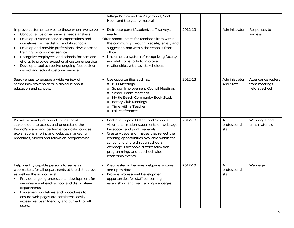|                                                                                                                                                                                                                                                                                                                                                                                                                                                                                    | Village Picnics on the Playground, Sock<br>Hop, and the yearly musical                                                                                                                                                                                                                                                                                                 |         |                              |                                                       |
|------------------------------------------------------------------------------------------------------------------------------------------------------------------------------------------------------------------------------------------------------------------------------------------------------------------------------------------------------------------------------------------------------------------------------------------------------------------------------------|------------------------------------------------------------------------------------------------------------------------------------------------------------------------------------------------------------------------------------------------------------------------------------------------------------------------------------------------------------------------|---------|------------------------------|-------------------------------------------------------|
| Improve customer service to those whom we serve<br>Conduct a customer service needs analysis<br>Develop customer service expectations and<br>guidelines for the district and its schools<br>Develop and provide professional development<br>$\bullet$<br>training for customer service<br>Recognize employees and schools for acts and<br>efforts to provide exceptional customer service<br>Develop a tool to receive ongoing feedback on<br>district and school customer service | • Distribute parent/student/staff surveys<br>yearly<br>Offer opportunities for feedback from within<br>the community through website, email, and<br>suggestion box within the school's front<br>office<br>• Implement a system of recognizing faculty<br>and staff for efforts to improve<br>relationships with key stakeholders                                       | 2012-13 | Administrator                | Responses to<br>surveys                               |
| Seek venues to engage a wide variety of<br>community stakeholders in dialogue about<br>education and schools.                                                                                                                                                                                                                                                                                                                                                                      | Use opportunities such as:<br>$\bullet$<br>o PTO Meetings<br>School Improvement Council Meetings<br>$\circ$<br><b>School Board Meetings</b><br>$\circ$<br>Myrtle Beach Community Book Study<br>$\circ$<br>o Rotary Club Meetings<br>Time with a Teacher<br>$\circ$<br>Fall conferences<br>$\circ$                                                                      | 2012-13 | Administrator<br>And Staff   | Attendance rosters<br>from meetings<br>held at school |
| Provide a variety of opportunities for all<br>stakeholders to access and understand the<br>District's vision and performance goals: concise<br>explanations in print and website, marketing<br>brochures, videos and television programming.                                                                                                                                                                                                                                       | Continue to post District and School's<br>$\bullet$<br>vision and mission statements on webpage,<br>Facebook, and print materials<br>• Create videos and images that reflect the<br>learning opportunities available within the<br>school and share through school's<br>webpage, Facebook, district television<br>programming, and at school-wide<br>leadership events | 2012-13 | All<br>professional<br>staff | Webpages and<br>print materials                       |
| Help identify capable persons to serve as<br>webmasters for all departments at the district level<br>as well as the school level<br>Provide ongoing professional development for<br>webmasters at each school and district-level<br>departments<br>Implement guidelines and procedures to<br>$\bullet$<br>ensure web pages are consistent, easily<br>accessible, user friendly, and current for all<br>users.                                                                      | Webmaster will ensure webpage is current<br>$\bullet$<br>and up to date<br>• Provide Professional Development<br>opportunities for staff concerning<br>establishing and maintaining webpages                                                                                                                                                                           | 2012-13 | All<br>professional<br>staff | Webpage                                               |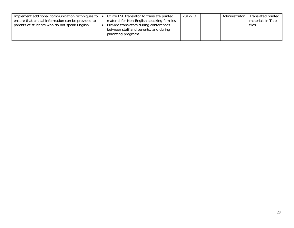| Implement additional communication techniques to    | Utilize ESL translator to translate printed | 2012-13 | Administrator | Translated printed   |
|-----------------------------------------------------|---------------------------------------------|---------|---------------|----------------------|
| ensure that critical information can be provided to | material for Non-English speaking families  |         |               | materials in Title I |
| parents of students who do not speak English.       | Provide translators during conferences      |         |               | files                |
|                                                     | between staff and parents, and during       |         |               |                      |
|                                                     | parenting programs                          |         |               |                      |
|                                                     |                                             |         |               |                      |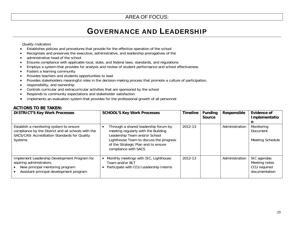## GOVERNANCE AND LEADERSHIP

#### Quality Indicators

- •Establishes policies and procedures that provide for the effective operation of the school
- •Recognizes and preserves the executive, administrative, and leadership prerogatives of the
- •administrative head of the school
- Ensures compliance with applicable local, state, and federal laws, standards, and regulations
- •Employs a system that provides for analysis and review of student performance and school effectiveness
- •Fosters a learning community
- •Provides teachers and students opportunities to lead
- •Provides stakeholders meaningful roles in the decision-making process that promote a culture of participation,
- •responsibility, and ownership
- •Controls curricular and extracurricular activities that are sponsored by the school
- •Responds to community expectations and stakeholder satisfaction
- •Implements an evaluation system that provides for the professional growth of all personnel

#### **ACTIONS TO BE TAKEN:**

| <b>DISTRICT'S Key Work Processes</b>                                                                                                                       | <b>SCHOOL'S Key Work Processes</b>                                                                                                                                                                                     | <b>Timeline</b> | <b>Funding</b><br><b>Source</b> | Responsible    | <b>Evidence of</b><br>Implementatio                           |
|------------------------------------------------------------------------------------------------------------------------------------------------------------|------------------------------------------------------------------------------------------------------------------------------------------------------------------------------------------------------------------------|-----------------|---------------------------------|----------------|---------------------------------------------------------------|
| Establish a monitoring system to ensure<br>compliance by the District and all schools with the<br>SACS/CASI Accreditation Standards for Quality<br>Systems | Through a shared leadership forum by<br>meeting regularly with the Building<br>Leadership Team and/or School<br>Lighthouse Team to discuss the progress<br>of the Strategic Plan and to ensure<br>compliance with SACS | 2012-13         |                                 | Administration | Monitoring<br>Document<br>Meeting Schedule                    |
| Implement Leadership Development Program for<br>aspiring administrators.<br>New principal mentoring program<br>Assistant principal development program     | Monthly meetings with SIC, Lighthouse<br>Team and/or BLT<br>Participate with CCU Leadership Interns                                                                                                                    | 2012-13         |                                 | Administration | SIC agendas<br>Meeting notes<br>CCU required<br>documentation |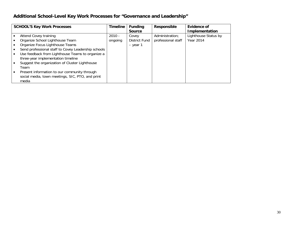### **Additional School-Level Key Work Processes for "Governance and Leadership"**

| <b>SCHOOL'S Key Work Processes</b>                  | <b>Timeline</b> | <b>Funding</b><br><b>Source</b> | Responsible        | Evidence of<br>Implementation |
|-----------------------------------------------------|-----------------|---------------------------------|--------------------|-------------------------------|
| Attend Covey training                               | $2010 -$        | Covey                           | Administration;    | Lighthouse Status by          |
| Organize School Lighthouse Team                     | ongoing         | District Fund                   | professional staff | Year 2014                     |
| Organize Focus Lighthouse Teams                     |                 | - year 1                        |                    |                               |
| Send professional staff to Covey Leadership schools |                 |                                 |                    |                               |
| Use feedback from Lighthouse Teams to organize a    |                 |                                 |                    |                               |
| three-year implementation timeline                  |                 |                                 |                    |                               |
| Suggest the organization of Cluster Lighthouse      |                 |                                 |                    |                               |
| Team                                                |                 |                                 |                    |                               |
| Present information to our community through        |                 |                                 |                    |                               |
| social media, town meetings, SIC, PTO, and print    |                 |                                 |                    |                               |
| media                                               |                 |                                 |                    |                               |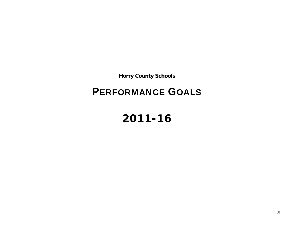**Horry County Schools** 

## PERFORMANCE GOALS

## **2011-16**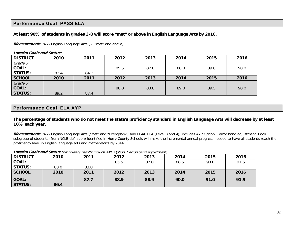### Performance Goal: PASS ELA

### **At least 90% of students in grades 3-8 will score "met" or above in English Language Arts by 2016.**

*Measurement:* PASS English Language Arts (% "met" and above)

**Interim Goals and Status: DISTRICT 2010 2011 2012 2013 2014 2015 2016** Grade 3 **GOAL: STATUS:** 83.4 84.3 85.5 87.0 88.0 89.0 90.0 **SCHOOL 2010 2011 2012 2013 2014 2015 2016**  Grade 3 **GOAL: STATUS:** 89.2 87.4 88.0 88.8 89.0 89.5 90.0

### Performance Goal: ELA AYP

**The percentage of students who do not meet the state's proficiency standard in English Language Arts will decrease by at least 10% each year.** 

**Measurement:** PASS English Language Arts ("Met" and "Exemplary") and HSAP ELA (Level 3 and 4); includes AYP Option 1 error band adjustment. Each subgroup of students (from NCLB definition) identified in Horry County Schools will make the incremental annual progress needed to have all students reach the proficiency level in English language arts and mathematics by 2014.

| <b>DISTRICT</b>         | 2010 | 2011 | 2012 | 2013 | 2014 | 2015 | 2016 |
|-------------------------|------|------|------|------|------|------|------|
| <b>GOAL:</b>            |      |      | 85.5 | 87.0 | 88.5 | 90.0 | 91.5 |
| <b>STATUS:</b>          | 83.0 | 83.8 |      |      |      |      |      |
| <b>SCHOOL</b>           | 2010 | 2011 | 2012 | 2013 | 2014 | 2015 | 2016 |
| GOAL:<br><b>STATUS:</b> | 86.4 | 87.7 | 88.9 | 88.9 | 90.0 | 91.0 | 91.9 |

#### **Interim Goals and Status** (proficiency results include AYP Option 1 error-band adjustment)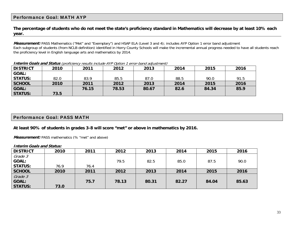### Performance Goal: MATH AYP

**The percentage of students who do not meet the state's proficiency standard in Mathematics will decrease by at least 10% each year.** 

**Measurement:** PASS Mathematics ("Met" and "Exemplary") and HSAP ELA (Level 3 and 4); includes AYP Option 1 error band adjustment Each subgroup of students (from NCLB definition) identified in Horry County Schools will make the incremental annual progress needed to have all students reach the proficiency level in English language arts and mathematics by 2014.

|                 | .    |       |       |       |      |       |      |
|-----------------|------|-------|-------|-------|------|-------|------|
| <b>DISTRICT</b> | 2010 | 2011  | 2012  | 2013  | 2014 | 2015  | 2016 |
| <b>GOAL:</b>    |      |       |       |       |      |       |      |
| <b>STATUS:</b>  | 82.0 | 83.9  | 85.5  | 87.0  | 88.5 | 90.0  | 91.5 |
| SCHOOL          | 2010 | 2011  | 2012  | 2013  | 2014 | 2015  | 2016 |
| <b>GOAL:</b>    |      | 76.15 | 78.53 | 80.67 | 82.6 | 84.34 | 85.9 |
| <b>STATUS:</b>  | 73.5 |       |       |       |      |       |      |

**Interim Goals and Status** (proficiency results include AYP Option 1 error-band adjustment)

### Performance Goal: PASS MATH

**At least 90% of students in grades 3-8 will score "met" or above in mathematics by 2016.** 

*Measurement:* PASS mathematics (% "met" and above)

| <b>DISTRICT</b> | 2010 | 2011 | 2012  | 2013  | 2014  | 2015  | 2016  |
|-----------------|------|------|-------|-------|-------|-------|-------|
| Grade 3         |      |      |       |       |       |       |       |
| <b>GOAL:</b>    |      |      | 79.5  | 82.5  | 85.0  | 87.5  | 90.0  |
| <b>STATUS:</b>  | 76.9 | 76.4 |       |       |       |       |       |
| <b>SCHOOL</b>   | 2010 | 2011 | 2012  | 2013  | 2014  | 2015  | 2016  |
| Grade 3         |      |      |       |       |       |       |       |
| <b>GOAL:</b>    |      | 75.7 | 78.13 | 80.31 | 82.27 | 84.04 | 85.63 |
| <b>STATUS:</b>  | 73.0 |      |       |       |       |       |       |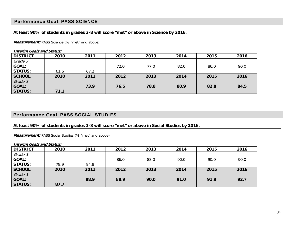### Performance Goal: PASS SCIENCE

### **At least 90% of students in grades 3-8 will score "met" or above in Science by 2016.**

**Measurement:** PASS Science (% "met" and above)

**Interim Goals and Status:** 

| <b>DISTRICT</b> | 2010 | 2011 | 2012 | 2013 | 2014 | 2015 | 2016 |
|-----------------|------|------|------|------|------|------|------|
| Grade 3         |      |      |      |      |      |      |      |
| <b>GOAL:</b>    |      |      | 72.0 | 77.0 | 82.0 | 86.0 | 90.0 |
| <b>STATUS:</b>  | 61.6 | 67.2 |      |      |      |      |      |
| <b>SCHOOL</b>   | 2010 | 2011 | 2012 | 2013 | 2014 | 2015 | 2016 |
| Grade 3         |      |      |      |      |      |      |      |
| <b>GOAL:</b>    |      | 73.9 | 76.5 | 78.8 | 80.9 | 82.8 | 84.5 |
| <b>STATUS:</b>  | 71.1 |      |      |      |      |      |      |

### Performance Goal: PASS SOCIAL STUDIES

**At least 90% of students in grades 3-8 will score "met" or above in Social Studies by 2016.** 

Measurement: PASS Social Studies (% "met" and above)

| <b>DISTRICT</b> | 2010 | 2011 | 2012 | 2013 | 2014 | 2015 | 2016 |
|-----------------|------|------|------|------|------|------|------|
| Grade 3         |      |      |      |      |      |      |      |
| <b>GOAL:</b>    |      |      | 86.0 | 88.0 | 90.0 | 90.0 | 90.0 |
| <b>STATUS:</b>  | 78.9 | 84.8 |      |      |      |      |      |
| <b>SCHOOL</b>   | 2010 | 2011 | 2012 | 2013 | 2014 | 2015 | 2016 |
| Grade 3         |      |      |      |      |      |      |      |
| <b>GOAL:</b>    |      | 88.9 | 88.9 | 90.0 | 91.0 | 91.9 | 92.7 |
| <b>STATUS:</b>  | 87.7 |      |      |      |      |      |      |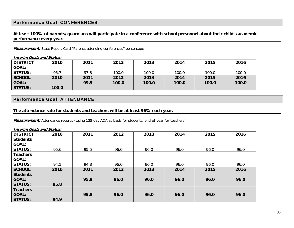### Performance Goal: CONFERENCES

### **At least 100% of parents/guardians will participate in a conference with school personnel about their child's academic performance every year.**

**Measurement:** State Report Card "Parents attending conferences" percentage

#### **Interim Goals and Status:**

| DISTRICT       | 2010  | 2011 | 2012  | 2013  | 2014  | 2015  | 2016  |
|----------------|-------|------|-------|-------|-------|-------|-------|
| <b>GOAL:</b>   |       |      |       |       |       |       |       |
| STATUS:        | 95.7  | 97.8 | 100.0 | 100.0 | 100.0 | 100.0 | 100.0 |
| <b>SCHOOL</b>  | 2010  | 2011 | 2012  | 2013  | 2014  | 2015  | 2016  |
| GOAL:          |       | 99.5 | 100.0 | 100.0 | 100.0 | 100.0 | 100.0 |
| <b>STATUS:</b> | 100.0 |      |       |       |       |       |       |

### Performance Goal: ATTENDANCE

#### **The attendance rate for students and teachers will be at least 96% each year.**

**Measurement:** Attendance records (Using 135-day ADA as basis for students, end-of-year for teachers)

#### **Interim Goals and Status: DISTRICT 2010 2011 2012 2013 2014 2015 2016 Students GOAL: STATUS:** 95.6 95.5 96.0 96.0 96.0 96.0 96.0 **Teachers GOAL: STATUS:** 94.1 94.8 96.0 96.0 96.0 96.0 96.0 **SCHOOL 2010 2011 2012 2013 2014 2015 2016 Students GOAL:** STATUS: 95.8 **95.9 96.0 96.0 96.0 96.0 96.0 Teachers GOAL: STATUS: 94.9 95.8 96.0 96.0 96.0 96.0 96.0**

35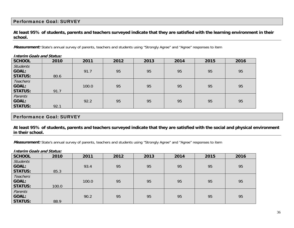### Performance Goal: SURVEY

### **At least 95% of students, parents and teachers surveyed indicate that they are satisfied with the learning environment in their school.**

Measurement: State's annual survey of parents, teachers and students using "Strongly Agree" and "Agree" responses to item

|                 | <i>III</i> chiii Goais ahu Status. |       |      |      |      |      |      |  |  |  |
|-----------------|------------------------------------|-------|------|------|------|------|------|--|--|--|
| <b>SCHOOL</b>   | 2010                               | 2011  | 2012 | 2013 | 2014 | 2015 | 2016 |  |  |  |
| <b>Students</b> |                                    |       |      |      |      |      |      |  |  |  |
| <b>GOAL:</b>    |                                    | 91.7  | 95   | 95   | 95   | 95   | 95   |  |  |  |
| <b>STATUS:</b>  | 80.6                               |       |      |      |      |      |      |  |  |  |
| <b>Teachers</b> |                                    |       |      |      |      |      |      |  |  |  |
| <b>GOAL:</b>    |                                    | 100.0 | 95   | 95   | 95   | 95   | 95   |  |  |  |
| <b>STATUS:</b>  | 91.7                               |       |      |      |      |      |      |  |  |  |
| Parents         |                                    |       |      |      |      |      |      |  |  |  |
| <b>GOAL:</b>    |                                    | 92.2  | 95   | 95   | 95   | 95   | 95   |  |  |  |
| <b>STATUS:</b>  | 92.1                               |       |      |      |      |      |      |  |  |  |

**Interim Goals and Status:**

### Performance Goal: SURVEY

**At least 95% of students, parents and teachers surveyed indicate that they are satisfied with the social and physical environment in their school.** 

Measurement: State's annual survey of parents, teachers and students using "Strongly Agree" and "Agree" responses to item

| <b>SCHOOL</b>   | 2010  | 2011  | 2012 | 2013 | 2014 | 2015 | 2016 |
|-----------------|-------|-------|------|------|------|------|------|
| <b>Students</b> |       |       |      |      |      |      |      |
| <b>GOAL:</b>    |       | 93.4  | 95   | 95   | 95   | 95   | 95   |
| <b>STATUS:</b>  | 85.3  |       |      |      |      |      |      |
| <b>Teachers</b> |       |       |      |      |      |      |      |
| <b>GOAL:</b>    |       | 100.0 | 95   | 95   | 95   | 95   | 95   |
| <b>STATUS:</b>  | 100.0 |       |      |      |      |      |      |
| Parents         |       |       |      |      |      |      |      |
| <b>GOAL:</b>    |       | 90.2  | 95   | 95   | 95   | 95   | 95   |
| <b>STATUS:</b>  | 88.9  |       |      |      |      |      |      |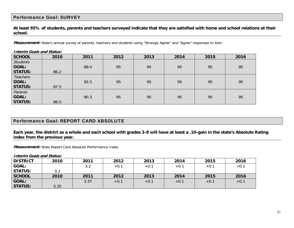### Performance Goal: SURVEY

**At least 95% of students, parents and teachers surveyed indicate that they are satisfied with home and school relations at their school.** 

**Measurement:** State's annual survey of parents, teachers and students using "Strongly Agree" and "Agree" responses to item

| <b>Interim Goals and Status:</b> |      |      |      |      |      |      |      |  |
|----------------------------------|------|------|------|------|------|------|------|--|
| <b>SCHOOL</b>                    | 2010 | 2011 | 2012 | 2013 | 2014 | 2015 | 2016 |  |
| <b>Students</b>                  |      |      |      |      |      |      |      |  |
| <b>GOAL:</b>                     |      | 88.4 | 95   | 95   | 95   | 95   | 95   |  |
| <b>STATUS:</b>                   | 86.2 |      |      |      |      |      |      |  |
| Teachers                         |      |      |      |      |      |      |      |  |
| <b>GOAL:</b>                     |      | 92.5 | 95   | 95   | 95   | 95   | 95   |  |
| <b>STATUS:</b>                   | 87.5 |      |      |      |      |      |      |  |
| Parents                          |      |      |      |      |      |      |      |  |
| GOAL:                            |      | 90.3 | 95   | 95   | 95   | 95   | 95   |  |
| <b>STATUS:</b>                   | 88.0 |      |      |      |      |      |      |  |

Performance Goal: REPORT CARD ABSOLUTE

### **Each year, the district as a whole and each school with grades 3-8 will have at least a .10-gain in the state's Absolute Rating index from the previous year.**

**Measurement:** State Report Card Absolute Performance Index

| <b>DISTRICT</b> | 2010 | 2011 | 2012   | 2013   | 2014   | 2015   | 2016   |
|-----------------|------|------|--------|--------|--------|--------|--------|
| <b>GOAL:</b>    |      | 3.2  | $+0.1$ | $+0.1$ | $+0.1$ | $+0.1$ | $+0.1$ |
| <b>STATUS:</b>  | 3.2  |      |        |        |        |        |        |
| <b>SCHOOL</b>   | 2010 | 2011 | 2012   | 2013   | 2014   | 2015   | 2016   |
| <b>GOAL:</b>    |      | 3.37 | $+0.1$ | $+0.1$ | $+0.1$ | $+0.1$ | $+0.1$ |
| <b>STATUS:</b>  | 3.35 |      |        |        |        |        |        |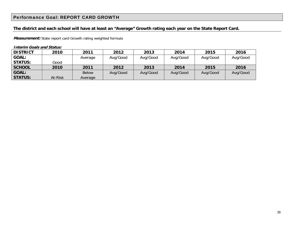### Performance Goal: REPORT CARD GROWTH

### **The district and each school will have at least an "Average" Growth rating each year on the State Report Card.**

**Measurement:** State report card Growth rating weighted formula

| <b>DISTRICT</b> | 2010    | 2011         | 2012     | 2013     | 2014     | 2015     | 2016     |
|-----------------|---------|--------------|----------|----------|----------|----------|----------|
| <b>GOAL:</b>    |         | Average      | Avg/Good | Avg/Good | Avg/Good | Avg/Good | Avg/Good |
| <b>STATUS:</b>  | Good    |              |          |          |          |          |          |
| <b>SCHOOL</b>   | 2010    | 2011         | 2012     | 2013     | 2014     | 2015     | 2016     |
| <b>GOAL:</b>    |         | <b>Below</b> | Avg/Good | Avg/Good | Avg/Good | Avg/Good | Avg/Good |
| <b>STATUS:</b>  | At-Risk | Average      |          |          |          |          |          |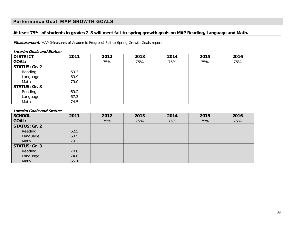### Performance Goal: MAP GROWTH GOALS

### **At least 75% of students in grades 2-8 will meet fall-to-spring growth goals on MAP Reading, Language and Math.**

**Measurement:** MAP (Measures of Academic Progress) Fall-to-Spring Growth Goals report

| <b>DISTRICT</b>      | 2011 | 2012 | 2013 | 2014 | 2015 | 2016 |  |
|----------------------|------|------|------|------|------|------|--|
| <b>GOAL:</b>         |      | 75%  | 75%  | 75%  | 75%  | 75%  |  |
| <b>STATUS: Gr. 2</b> |      |      |      |      |      |      |  |
| Reading              | 69.3 |      |      |      |      |      |  |
| Language             | 69.9 |      |      |      |      |      |  |
| Math                 | 79.0 |      |      |      |      |      |  |
| <b>STATUS: Gr. 3</b> |      |      |      |      |      |      |  |
| Reading              | 69.2 |      |      |      |      |      |  |
| Language             | 67.3 |      |      |      |      |      |  |
| Math                 | 74.5 |      |      |      |      |      |  |

**Interim Goals and Status:**

| <b>SCHOOL</b>        | 2011 | 2012 | 2013 | 2014 | 2015 | 2016 |
|----------------------|------|------|------|------|------|------|
| <b>GOAL:</b>         |      | 75%  | 75%  | 75%  | 75%  | 75%  |
| <b>STATUS: Gr. 2</b> |      |      |      |      |      |      |
| Reading              | 62.5 |      |      |      |      |      |
| Language             | 63.5 |      |      |      |      |      |
| Math                 | 79.3 |      |      |      |      |      |
| <b>STATUS: Gr. 3</b> |      |      |      |      |      |      |
| Reading              | 70.8 |      |      |      |      |      |
| Language             | 74.8 |      |      |      |      |      |
| Math                 | 65.1 |      |      |      |      |      |